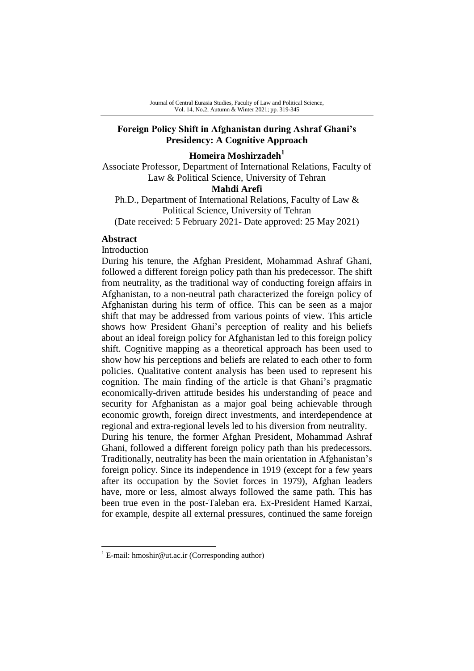# **Foreign Policy Shift in Afghanistan during Ashraf Ghani's Presidency: A Cognitive Approach**

## **Homeira Moshirzadeh<sup>1</sup>**

Associate Professor, Department of International Relations, Faculty of Law & Political Science, University of Tehran

### **Mahdi Arefi**

Ph.D., Department of International Relations, Faculty of Law & Political Science, University of Tehran (Date received: 5 February 2021- Date approved: 25 May 2021)

### **Abstract**

-

Introduction

During his tenure, the Afghan President, Mohammad Ashraf Ghani, followed a different foreign policy path than his predecessor. The shift from neutrality, as the traditional way of conducting foreign affairs in Afghanistan, to a non-neutral path characterized the foreign policy of Afghanistan during his term of office. This can be seen as a major shift that may be addressed from various points of view. This article shows how President Ghani's perception of reality and his beliefs about an ideal foreign policy for Afghanistan led to this foreign policy shift. Cognitive mapping as a theoretical approach has been used to show how his perceptions and beliefs are related to each other to form policies. Qualitative content analysis has been used to represent his cognition. The main finding of the article is that Ghani's pragmatic economically-driven attitude besides his understanding of peace and security for Afghanistan as a major goal being achievable through economic growth, foreign direct investments, and interdependence at regional and extra-regional levels led to his diversion from neutrality. During his tenure, the former Afghan President, Mohammad Ashraf Ghani, followed a different foreign policy path than his predecessors. Traditionally, neutrality has been the main orientation in Afghanistan's foreign policy. Since its independence in 1919 (except for a few years after its occupation by the Soviet forces in 1979), Afghan leaders have, more or less, almost always followed the same path. This has been true even in the post-Taleban era. Ex-President Hamed Karzai, for example, despite all external pressures, continued the same foreign

<sup>&</sup>lt;sup>1</sup> E-mail: hmoshir@ut.ac.ir (Corresponding author)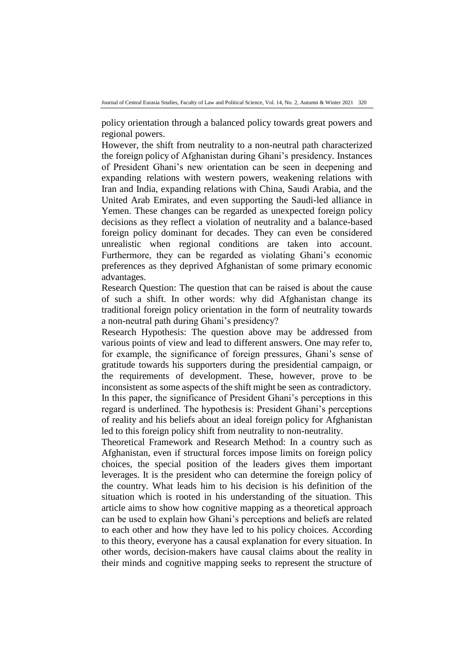policy orientation through a balanced policy towards great powers and regional powers.

However, the shift from neutrality to a non-neutral path characterized the foreign policy of Afghanistan during Ghani's presidency. Instances of President Ghani's new orientation can be seen in deepening and expanding relations with western powers, weakening relations with Iran and India, expanding relations with China, Saudi Arabia, and the United Arab Emirates, and even supporting the Saudi-led alliance in Yemen. These changes can be regarded as unexpected foreign policy decisions as they reflect a violation of neutrality and a balance-based foreign policy dominant for decades. They can even be considered unrealistic when regional conditions are taken into account. Furthermore, they can be regarded as violating Ghani's economic preferences as they deprived Afghanistan of some primary economic advantages.

Research Question: The question that can be raised is about the cause of such a shift. In other words: why did Afghanistan change its traditional foreign policy orientation in the form of neutrality towards a non-neutral path during Ghani's presidency?

Research Hypothesis: The question above may be addressed from various points of view and lead to different answers. One may refer to, for example, the significance of foreign pressures, Ghani's sense of gratitude towards his supporters during the presidential campaign, or the requirements of development. These, however, prove to be inconsistent as some aspects of the shift might be seen as contradictory. In this paper, the significance of President Ghani's perceptions in this regard is underlined. The hypothesis is: President Ghani's perceptions of reality and his beliefs about an ideal foreign policy for Afghanistan led to this foreign policy shift from neutrality to non-neutrality.

Theoretical Framework and Research Method: In a country such as Afghanistan, even if structural forces impose limits on foreign policy choices, the special position of the leaders gives them important leverages. It is the president who can determine the foreign policy of the country. What leads him to his decision is his definition of the situation which is rooted in his understanding of the situation. This article aims to show how cognitive mapping as a theoretical approach can be used to explain how Ghani's perceptions and beliefs are related to each other and how they have led to his policy choices. According to this theory, everyone has a causal explanation for every situation. In other words, decision-makers have causal claims about the reality in their minds and cognitive mapping seeks to represent the structure of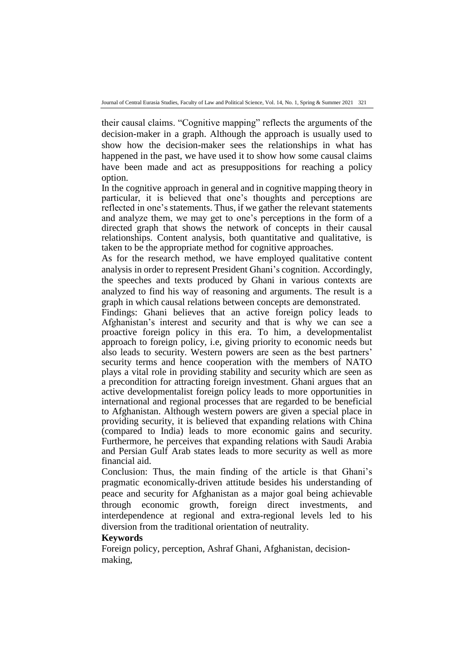their causal claims. "Cognitive mapping" reflects the arguments of the decision-maker in a graph. Although the approach is usually used to show how the decision-maker sees the relationships in what has happened in the past, we have used it to show how some causal claims have been made and act as presuppositions for reaching a policy option.

In the cognitive approach in general and in cognitive mapping theory in particular, it is believed that one's thoughts and perceptions are reflected in one's statements. Thus, if we gather the relevant statements and analyze them, we may get to one's perceptions in the form of a directed graph that shows the network of concepts in their causal relationships. Content analysis, both quantitative and qualitative, is taken to be the appropriate method for cognitive approaches.

As for the research method, we have employed qualitative content analysis in order to represent President Ghani's cognition. Accordingly, the speeches and texts produced by Ghani in various contexts are analyzed to find his way of reasoning and arguments. The result is a graph in which causal relations between concepts are demonstrated.

Findings: Ghani believes that an active foreign policy leads to Afghanistan's interest and security and that is why we can see a proactive foreign policy in this era. To him, a developmentalist approach to foreign policy, i.e, giving priority to economic needs but also leads to security. Western powers are seen as the best partners' security terms and hence cooperation with the members of NATO plays a vital role in providing stability and security which are seen as a precondition for attracting foreign investment. Ghani argues that an active developmentalist foreign policy leads to more opportunities in international and regional processes that are regarded to be beneficial to Afghanistan. Although western powers are given a special place in providing security, it is believed that expanding relations with China (compared to India) leads to more economic gains and security. Furthermore, he perceives that expanding relations with Saudi Arabia and Persian Gulf Arab states leads to more security as well as more financial aid.

Conclusion: Thus, the main finding of the article is that Ghani's pragmatic economically-driven attitude besides his understanding of peace and security for Afghanistan as a major goal being achievable through economic growth, foreign direct investments, and interdependence at regional and extra-regional levels led to his diversion from the traditional orientation of neutrality.

## **Keywords**

Foreign policy, perception, Ashraf Ghani, Afghanistan, decisionmaking,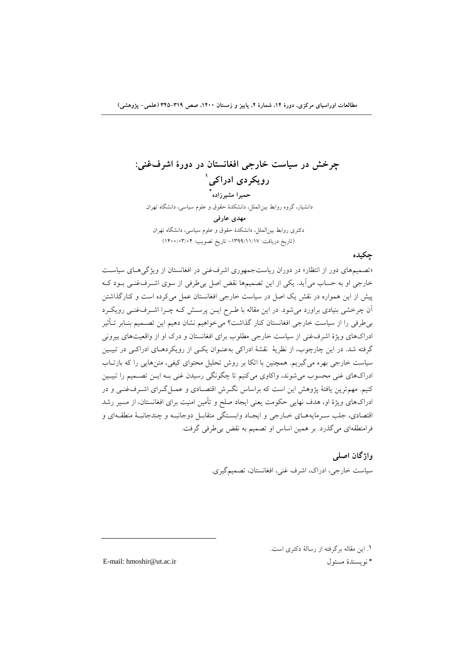**چرخش در سياست خارجی افغانستان در دورة اشرفغنی: 1 رویکردي ادراكی \* حميرا مشيرزاده** دانشیار، گروه روابط بینالملل، دانشکدة حقوق و علوم سیاسی، دانشگاه تهران **مهدي عارفی** دکتری روابط بینالملل، دانشکدة حقوق و علوم سیاسی، دانشگاه تهران )تاریخ دریافت: -1399/11/17 تاریخ تصویب: 1400/03/04(

## **چکيده**

«تصمیمهای دور از انتظار» در دوران ریاستجمهوری اشرف غنی در افغانستان از ویژگیهای سیاست خارجی او به حساب میآید. یکی از این تصمیمها نقض اصل بیطرفی از سوی اشـرفغنـی بـود کـه پیش از این همواره در نقش یک اصل در سیاست خارجی افغانستان عمل میکرده است و کنارگذاشتن آن چرخشی بنیادی براورد می شود. در این مقاله با طـرح ایــن پرســش کــه چــرا اشــرفغنــی رویکــرد بی طرفی را از سیاست خارجی افغانستان کنار گذاشت؟ می خواهیم نشان دهیم این تصـمیم بنـابر تـأثیر ادراکهای ویژة اشرفغنی از سیاست خارجی مطلوب برای افغانستان و درک او از واقعیتهای بیرونی گرفته شد. در این چارچوب، از نظریۀ نقشۀ ادراکی بهعنـوان یکـی از رویکردهـای ادراکـی در تبیـین سیاست خارجی بهره میگیریم. همچنین با اتکا بر روش تحلیل محتوای کیفی، متنهایی را که بازتااب ادراکهای غنی محسوب میشوند، واکاوی میکنیم تا چگونگی رسیدن غنی بـه ایــن تصــمیم را تبیــین کنیم. مهمترین یافتۀ پژوهش این است که براساس نگـرش اقتصـادی و عمـل گـرای اشـرفغنـی و در ادراکهای ویژهٔ او، هدف نهایی حکومت یعنی ایجاد صلح و تأمین امنیت برای افغانستان، از مسیر رشد اقتصادی، جلب سـرمایههـای خـارجی و ایجـاد وابسـتگی متقابـل دوجانبـه و چندجانبـۀ منطقـهای و فرامنطقهای میگذرد. بر همین اساس او تصمیم به نقض بیطرفی گرفت.

#### **واژگان اصلی**

سیاست خارجی، ادراک، اشرف غنی، افغانستان، تصمیمگیری.

.1 این مقاله برگرفته از رسالۀ دکتری است.

E-mail: hmoshir@ut.ac.ir مسئول نویسندة\*

1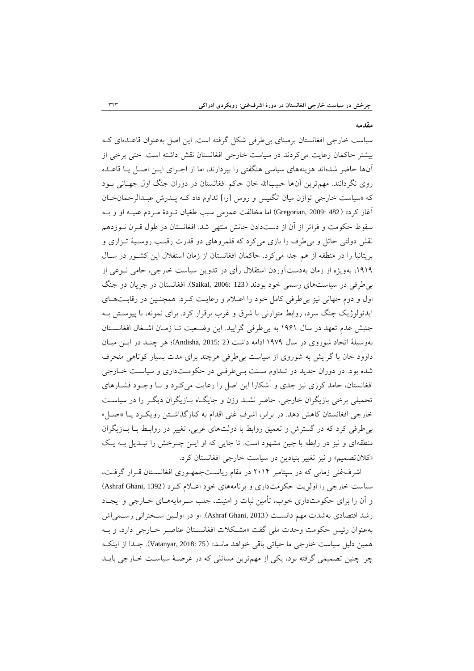#### **مقدمه**

سیاست خارجی افغانستان برمبنای بی طرفی شکل گرفته است. این اصل بهعنوان قاعـدهای کـه بیشتر حاکمان رعایت میکردند در سیاست خارجی افغانستان نقش داشته است. حتی برخی از آنها حاضر شدهاند هزینههای سیاسی هنگفتی را بپردازند، اما از اجارای ایان اصال یاا قاعاده روی نگردانند. مهم ترین آنها حبیبالله خان حاکم افغانستان در دوران جنگ اول جهـانی بــود که «سیاست خارجی توازن میان انگلیس و روس [را] تداوم داد کـه پــدرش عبـدالرحمان خـان آغاز کرد» (482 :Gregorian, 2009) اما مخالفت عمومی سبب طغیان تــودهٔ مــردم علیــه او و بــه سقوط حکومت و فراتر از آن از دستدادن جانش منتهی شد. افغانستان در طول قارن ناوزدهم نقش دولتی حائل و بی طرف را بازی میکرد که قلمروهای دو قدرت رقیب روسـیۀ تـزاری و بریتانیا را در منطقه از هم جدا می کرد. حاکمان افغانستان از زمان استقلال این کشور در سال ،1919 بهویژه از زمان بهدستآوردن استقالل رأی در تدوین سیاست خارجی، حامی ناوعی از بیطرفی در سیاستهای رسمی خود بودند )123 2006: ,Saikal). افغانستان در جریان دو جنگ اول و دوم جهانی نیز بی طرفی کامل خود را اعـلام و رعایـت کـرد. همچنـین در رقابـتهـای ایدئولوژیک جنگ سرد، روابط متوازنی با شرق و غرب برقرار کرد. برای نمونه، با پیوساتن باه جنبش عدم تعهد در سال ۱۹۶۱ به بی طرفی گرایید. این وضعیت تـا زمـان اشـغال افغانسـتان بهوسیلۀ اتحاد شوروی در سال 1979 ادامه داشت )2 2015: ,Andisha)؛ هر چناد در ایان میاان داوود خان با گرایش به شوروی از سیاست بیطرفی هرچند برای مدت بسیار کوتاهی منحرف شده بود. در دوران جدید در تـداوم سـنت بـی طرفـی در حکومـتداری و سیاسـت خـارجی افغانستان، حامد کرزی نیز جدی و آشکارا این اصل را رعایت میکرد و بـا وجـود فشـارهای تحمیلی برخی بازیگران خارجی، حاضر نشاد وزن و جایگااه باازیگران دیگار را در سیاسات خارجی افغانستان کاهش دهد. در برابر، اشرف غنی اقدام به کنارگذاشتن رویک دد یا «اصل» بیطرفی کرد که در گسترش و تعمیق روابط با دولتهای غربی، تغییر در رواباط باا باازیگران منطقهای و نیز در رابطه با چین مشهود است. تا جایی که او ایـن چـرخش را تبـدیل بـه یـک »کالنتصمیم« و نیز تغییر بنیادین در سیاست خارجی افغانستان کرد.

اشرفغنی زمانی که در سپتامبر ۲۰۱۴ در مقام ریاستجمهوری افغانستان قـرار گرفـت، سیاست خارجی را اولویت حکومتداری و برنامههای خود اعلام کرد (Ashraf Ghani, 1392) و آن را برای حکومتداری خوب، تأمین ثبات و امنیت، جلب سـرمایههـای خــارجی و ایجــاد رشد اقتصادی بهشدت مهم دانست (Ashraf Ghani, 2013). او در اولین سـخنرانی رسـمی|ش بهعنوان رئیس حکومت وحدت ملی گفت »مشا کالت افغانساتان عناصار خاارجی دارد ، و باه همین دلیل سیاست خارجی ما حیاتی باقی خواهد مانـد» (Vatanyar, 2018: 75). جـدا از اینکـه چرا چنین تصمیمی گرفته بود، یکی از مهمترین مسائلی که در عرصاۀ سیاسات خاارجی بایاد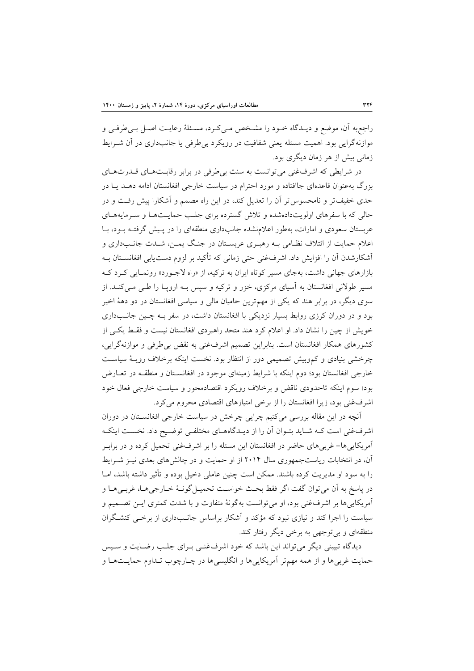راجعبه آن، موضع و دیـدگاه خــود را مشـخص مــیکـرد، مسـئلۀ رعایــت اصــل بــی طرفــی و موازنهگرایی بود. اهمیت مسئله یعنی شفافیت در رویکرد بی طرفی یا جانبداری در آن شــرایط زمانی بیش از هر زمان دیگری بود.

در شرایطی که اشرفغنی می توانست به سنت بی طرفی در برابر رقابت های قـدرت هـای بزرگ بهعنوان قاعدهای جاافتاده و مورد احترام در سیاست خارجی افغانستان ادامه دهاد یاا در حدی خفیفتر و نامحسوستر آن را تعدیل کند، در این راه مصمم و آشکارا پیش رفات و در حالی که با سفرهای اولویتدادهشده و تالش گسترده برای جلاب حمایات هاا و سارمایه هاای عربستان سعودی و امارات، بهطور اعلامنشده جانبداری منطقهای را در پـیش گرفتـه بـود، بـا اعلام حمایت از ائتلاف نظـامی بـه رهبـری عربسـتان در جنـگ یمـن، شـدت جانـبداری و آشکارشدن آن را افزایش داد. اشرفغنی حتی زمانی که تأکید بر لزوم دستیابی افغانسـتان بـه بازارهای جهانی داشت، بهجای مسیر کوتاه ایران به ترکیه، از «راه لاجـورد» رونمـایی کـرد کـه مسیر طولانی افغانستان به آسیای مرکزی، خزر و ترکیه و سپس بـه اروپـا را طـی مـیکنـد. از سوی دیگر، در برابر هند که یکی از مهمترین حامیان مالی و سیاسی افغانستان در دو دهۀ اخیر بود و در دوران کرزی روابط بسیار نزدیکی با افغانستان داشت، در سفر بـه چـین جانـبداری خویش از چین را نشان داد. او اعلام کرد هند متحد راهبردی افغانستان نیست و فقط یکی از کشورهای همکار افغانستان است. بنابراین تصمیم اشرفغنی به نقض بیطرفی و موازنهگرایی، چرخشی بنیادی و کموبیش تصمیمی دور از انتظار بود. نخست اینکه برخالف رویاۀ سیاسات خارجی افغانستان بود؛ دوم اینکه با شرایط زمینهای موجود در افغانسـتان و منطقــه در تعــارض بود؛ سوم اینکه تاحدودی ناقض و برخالف رویکرد اقتصادمحور و سیاست خارجی فعال خود اشرفغنی بود، زیرا افغانستان را از برخی امتیازهای اقتصادی محروم میکرد.

آنچه در این مقاله بررسی میکنیم چرایی چرخش در سیاست خارجی افغانساتان در دوران اشرفغنی است کـه شـاید بتـوان آن را از دیـدگاههـای مختلفـی توضـیح داد. نخسـت اینکـه آمریکاییها- غربیهای حاضر در افغانستان این مسئله را بر اشرفغنی تحمیل کرده و در برابار آن، در انتخابات ریاستجمهوری سال 2014 از او حمایت و در چالشهای بعدی نیاز شارایط را به سود او مدیریت کرده باشند. ممکن است چنین عاملی دخیل بوده و تر یر داشته باشد، اماا در پاسخ به آن می توان گفت اگر فقط بحث خواست تحمیـل گونـهٔ خــارجی هـا، غربـی هـا و آمریکاییها بر اشرفغنی بود، او میتوانست بهگونۀ متفاوت و با شدت کمتری ایان تصامیم و سیاست را اجرا کند و نیازی نبود که مؤکد و آشکار براساس جانـبداری از برخـی کنشـگران منطقهای و بیتوجهی به برخی دیگر رفتار کند.

دیدگاه تبیینی دیگر می تواند این باشد که خود اشرفغنسی بـرای جلـب رضـایت و سـیس حمایت غربیها و از همه مهمتر آمریکاییها و انگلیسیها در چـارچوب تـداوم حمایـتهـا و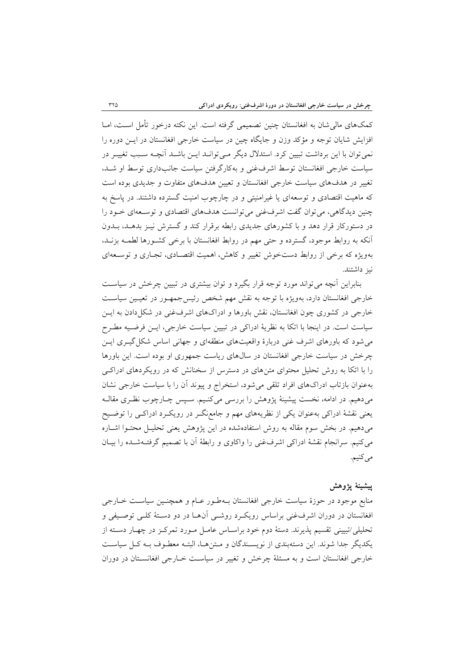کمکهای مالی شان به افغانستان چنین تصمیمی گرفته است. این نکته درخور تأمل اسـت، امـا افزایش شایان توجه و مؤکد وزن و جایگاه چین در سیاست خارجی افغانستان در ایان دوره را نمی توان با این برداشت تبیین کرد. استدلال دیگر مـی توانـد ایــن باشــد آنچــه سـبب تغییـر در سیاست خارجی افغانستان توسط اشرفغنی و بهکارگرفتن سیاست جانبداری توسط او شاد، تغییر در هدفهای سیاست خارجی افغانستان و تعیین هدفهای متفاوت و جدیدی بوده است که ماهیت اقتصادی و توسعهای یا غیرامنیتی و در چارچوب امنیت گسترده داشتند. در پاسخ به چنین دیدگاهی، می توان گفت اشرفغنی می توانست هدفهای اقتصادی و توسعهای خـود را در دستورکار قرار دهد و با کشورهای جدیدی رابطه برقرار کند و گسترش نیاز بدهاد، بادون آنکه به روابط موجود، گسترده و حتی مهم در روابط افغانستان با برخی کشاورها لطماه بزناد، بهویژه که برخی از روابط دستخوش تغییر و کاهش، اهمیت اقتصاادی، تجااری و توساعه ای نیز داشتند.

بنابراین آنچه می تواند مورد توجه قرار بگیرد و توان بیشتری در تبیین چرخش در سیاست خارجی افغانستان دارد، بهویژه با توجه به نقش مهم شخص رئیس جمهـور در تعیـین سیاسـت خارجی در کشوری چون افغانستان، نقش باورها و ادراکهای اشرفغنی در شکل دادن به ایس سیاست است. در اینجا با اتکا به نظریۀ ادراکی در تبیین سیاست خارجی، ایـن فرضـیه مطـرح میشود که باورهای اشرف غنی دربارة واقعیتهای منطقهای و جهانی اساس شکلگیاری ایان چرخش در سیاست خارجی افغانستان در سالهای ریاست جمهوری او بوده است. این باورها را با اتکا به روش تحلیل محتوای متنهای در دسترس از سخنانش که در رویکردهای ادراکای بهعنوان بازتاب ادراکهای افراد تلقی میشود، استخراج و پیوند آن را با سیاست خارجی نشان میدهیم. در ادامه، نخست پیشینۀ پژوهش را بررسی میکنیم. سـپس چـارچوب نظـری مقالـه یعنی نقشۀ ادراکی بهعنوان یکی از نظریههای مهم و جامعنگار در رویکارد ادراکای را توضایح میدهیم. در بخش سوم مقاله به روش استفادهشده در این پژوهش یعنی تحلیال محتاوا اشااره میکنیم. سرانجام نقشۀ ادراکی اشرفغنی را واکاوی و رابطۀ آن با تصمیم گرفتاه شاده را بیاان می کنیم.

## **پيشينۀ پژوهش**

منابع موجود در حوزهٔ سیاست خارجی افغانستان بـهطـور عـام و همچنـین سیاسـت خـارجی افغانستان در دوران اشرفغنی براساس رویک روشی آن ها در دو دستۀ کلبی توصیفی و تحلیلی/تبیینی تقسیم پذیرند. دستۀ دوم خود براسـاس عامـل مـورد تمرکـز در چهـار دسـته از یکدیگر جدا شوند. این دستهبندی از نویسـندگان و مـتن۱مـا، البتـه معطـوف بـه کـل سیاسـت خارجی افغانستان است و به مسئلۀ چرخش و تغییر در سیاسات خاارجی افغانساتان در دوران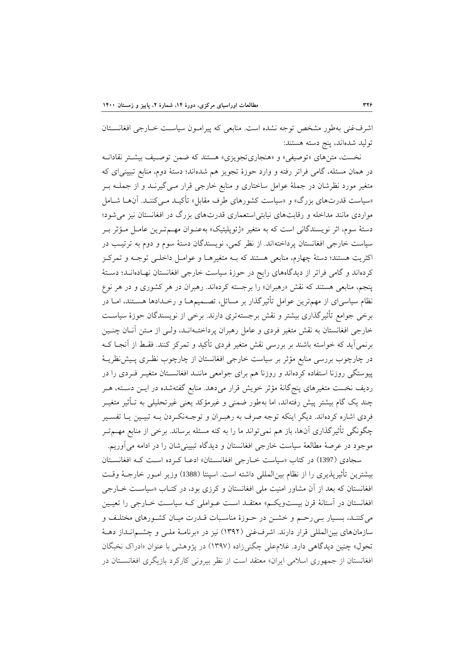اشرفغنی بهطور مشخص توجه نشده است. منابعی که پیرامـون سیاسـت خـارجی افغانسـتان تولید شدهاند، پنج دسته هستند:

نخست، متن های «توصیفی» و «هنجاریتجویزی» هستند که ضمن توصیف بیشتر نقادانـه در همان مسئله، گامی فراتر رفته و وارد حوزهٔ تجویز هم شدهاند؛ دستۀ دوم، منابع تبیینیای که متغیر مورد نظرشان در جملۀ عوامل ساختاری و منابع خارجی قرار مـی گیرنــد و از جملــه بــر «سیاست قدرتهای بزرگ» و «سیاست کشورهای طرف مقابل» تأکیـد مـیکننـد. آنهـا شـامل مواردی مانند مداخله و رقابتهای نیابتیاستعماری قدرتهای بزرگ در افغانستان نیز میشود؛ دستۀ سوم، اثر نویسندگانی است که به متغیر «ژئوپلیتیک» بهعنـوان مهــمتـرین عامـل مـؤثر بـر سیاست خارجی افغانستان پرداختهاند. از نظر کمی، نویسندگان دستۀ سوم و دوم به ترتیاب در اکثریت هستند؛ دستۀ چهارم، منابعی هستند که باه متغیرهاا و عوامال داخلای توجاه و تمرکاز کردهاند و گامی فراتر از دیدگاههای رایج در حوزهٔ سیاست خارجی افغانستان نهـادهانــد؛ دســتهٔ پنجم، منابعی هستند که نقش «رهبران» را برجسته کردهاند. رهبران در هر کشوری و در هر نوع نظام سیاسیای از مهمترین عوامل تأثیرگذار بر مسائل، تصـمیمهـا و رخـدادها هسـتند، امـا در برخی جوامع تأثیرگذاری بیشتر و نقش برجستهتری دارند. برخی از نویسندگان حوزهٔ سیاست خارجی افغانستان به نقش متغیر فردی و عامل رهبران پرداختـهانـد، ولـی از مـتن آنـان چنـین برنمیآید که خواسته باشند بر بررسی نقش متغیر فردی تأکید و تمرکز کنند. فقـط از آنجـا کـه در چارچوب بررسی منابع مؤثر بر سیاست خارجی افغانستان از چارچوب نظـری پـیش نظریــهٔ پیوستگی روزنا استفاده کردهاند و روزنا هم برای جوامعی ماننـد افغانسـتان متغیـر فـردی را در ردیف نخست متغیرهای پنجگانۀ مؤثر خویش قرار میدهد. منابع گفتهشده در ایــن دســته، هــر چند یک گام بیشتر پیش رفتهاند، اما بهطور ضمنی و غیرمؤکد یعنی غیرتحلیلی به تـأثیر متغیــر فردی اشاره کردهاند. دیگر اینکه توجه صرف به رهبـران و توجـهنکـردن بـه تبيـين يــا تفسـير چگونگی تأثیرگذاری آنها، باز هم نمیتواند ما را به کنه مسئله برساند. برخی از منابع مهــمتــر موجود در عرصۀ مطالعۀ سیاست خارجی افغانستان و دیدگاه تبیینیشان را در ادامه میآوریم.

سجادی (1397) در کتاب «سیاست خـارجی افغانسـتان» ادعـا کـرده اسـت کـه افغانسـتان بیشترین تأثیرپذیری را از نظام بین|لمللی داشته است. اسپنتا (1388) وزیر امـور خارجـۀ وقـت افغانستان که بعد از آن مشاور امنیت ملی افغانستان و کرزی بود، در کتـاب «سیاسـت خـارجی افغانستان در آستانۀ قرن بیستویکم» معتقـد اسـت عــواملی کــه سیاسـت خــارجی را تعیــین میکننـد، بسـیار بـی رحـم و خشـن در حـوزهٔ مناسـبات قــدرت میـان کشـورهای مختلـف و سازمانهای بین المللی قرار دارند. اشرفغنی (۱۳۹۲) نیز در «برنامـۀ ملـی و چشــمانـداز دهـۀ تحول» چنین دیدگاهی دارد. غلام علی چگنیزاده (۱۳۹۷) در پژوهشی با عنوان «ادراک نخبگان افغانستان از جمهوری اسلامی ایران» معتقد است از نظر بیرونی کارکرد بازیگری افغانستان در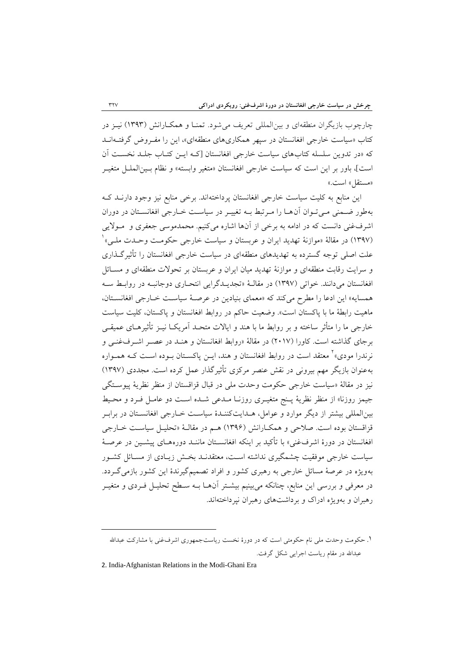چارچوب بازیگران منطقهای و بین المللی تعریف می شود. تمنـا و همکـارانش (۱۳۹۳) نیـز در کتاب «سیاست خارجی افغانستان در سپهر همکاریهای منطقهای»، این را مفـروض گرفتـهانــد که »در تدوین سلسله کتابهای سیاست خارجی افغانستان ]کاه ایان کتااب جلاد نخسات آن است]، باور بر این است که سیاست خارجی افغانستان «متغیر وابسته» و نظام بـینالملـل متغیـر «مستقل» است.»

این منابع به کلیت سیاست خارجی افغانستان پرداختهاند. برخی منابع نیز وجود دارناد کاه بهطور ضمنی می توان آن ها را مرتبط بـه تغییـر در سیاسـت خـارجی افغانسـتان در دوران اشرفغنی دانست که در ادامه به برخی از آنها اشاره میکنیم. محمدموسی جعفری و مولایی (۱۳۹۷) در مقالۀ «موازنۀ تهدید ایران و عربستان و سیاست خارجی حکومـت وحـدت ملـی» <mark>`</mark> علت اصلی توجه گسترده به تهدیدهای منطقهای در سیاست خارجی افغانستان را تأثیرگـذاری و سرایت رقابت منطقهای و موازنۀ تهدید میان ایران و عربستان بر تحوالت منطقهای و مساائل افغانستان می دانند. خواتی (۱۳۹۷) در مقالـهٔ «تجدیــدگرایی انتحـاری دوجانبــه در روابـط ســه همسایه» این ادعا را مطرح میکند که «معمای بنیادین در عرصـهٔ سیاسـت خـارجی افغانسـتان، ماهیت رابطۀ ما با پاکستان است«. وضعیت حاکم در روابط افغانستان و پاکستان، کلیت سیاست خارجی ما را متأثر ساخته و بر روابط ما با هند و ایالات متحـد آمریکــا نیــز تأثیرهــای عمیقــی برجای گذاشته است. کاورا (۲۰۱۷) در مقالۀ «روابط افغانستان و هنـد در عصـر اشـرفغنـی و نرندرا مودی»<sup>۲</sup> معتقد است در روابط افغانستان و هند، ایــن پاکســتان بــوده اســت کــه همــواره بهعنوان بازیگر مهم بیرونى در نقش عنصر مرکزى تأثیرگذار عمل کرده است. مجددی (۱۳۹۷) نیز در مقالۀ «سیاست خارجی حکومت وحدت ملی در قبال قزاقستان از منظر نظریۀ پیوسـتگی جیمز روزنا» از منظر نظریۀ پـنج متغیـری روزنـا مـدعی شـده اسـت دو عامـل فـرد و محـیط بینالمللی بیشتر از دیگر موارد و عوامل، هـدایتکننـدهٔ سیاسـت خـارجی افغانسـتان در برابـر قزاقستان بوده است. صلاحی و همکـارانش (۱۳۹۶) هـم در مقالـۀ «تحليـل سياسـت خـارجى افغانستان در دورهٔ اشرفغنی» با تأکید بر اینکه افغانســتان ماننــد دورههــای پیشــین در عرصــهٔ سیاست خارجی موفقیت چشمگیری نداشته است، معتقدنـد بخـش زیـادی از مسـائل کشـور بهویژه در عرصۀ مسائل خارجی به ره ری کشور و افراد تصمیمگیرندة این کشور بازمیگاردد. در معرفی و بررسی این منابع، چنانکه میبینیم بیشـتر آنهــا بــه سـطح تحلیــل فــردی و متغیــر رهبران و بهویژه ادراک و برداشتهای رهبران نپرداختهاند.

-

<sup>1.</sup> حکومت وحدت ملی نام حکومتی است که در دورهٔ نخست ریاستجمهوری اشرفغنی با مشارکت عبدالله عبدالله در مقام ریاست اجرایی شکل گرفت.

<sup>2</sup>. India-Afghanistan Relations in the Modi-Ghani Era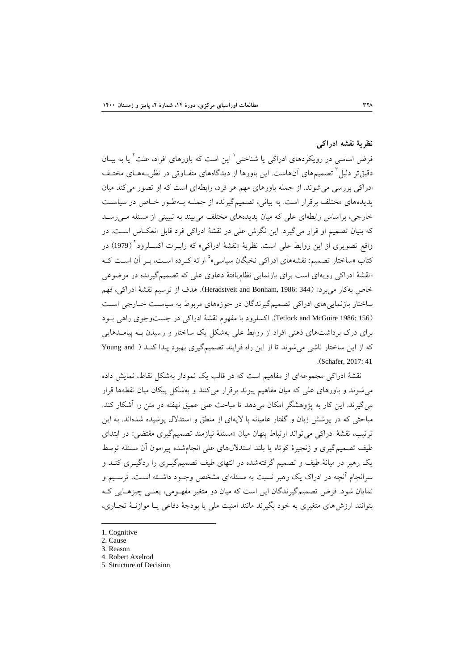# **نظریۀ نقشه ادراكی**

فرض اساسی در رویکردهای ادراکی یا شناختی<sup>۱</sup> این است که باورهای افراد، علت<sup>۲</sup> یا به بیـان دقیقتر دلیل<sup>۲</sup> تصمیمهای آنهاست. این باورها از دیدگاههای متفـاوتی در نظریــههـای مختـف ادراکی بررسی میشوند. از جمله باورهای مهم هر فرد، رابطهای است که او تصور میکند میان پدیدههای مختلف برقرار است. به بیانی، تصمیمگیرنده از جملـه بـهطـور خـاص در سیاسـت خارجی، براساس رابطهای علی که میان پدیدههای مختلف می بیند به تبیینی از مسئله مـی رسـد که بنیان تصمیم او قرار میگیرد. این نگرش علی در نقشۀ ادراکی فرد قابل انعکااس اسات. در واقع تصویری از این روابط عل<sub>ی</sub> است. نظریۀ «نقشۀ ادراک<sub>ی</sub>» که رابــرت اکســلرود<sup>۲</sup> (1979) در کتاب «ساختار تصمیم: نقشههای ادراکی نخبگان سیاسی»<sup>۵</sup> ارائه کـرده اسـت، بـر آن اسـت کــه »نقشۀ ادراکی رویهای است برای بازنمایی نظامیافتۀ دعاوی علی که تصمیمگیرنده در موضوعی خاص بهکار میبرد» (344 :Heradstveit and Bonham, 1986). هدف از ترسیم نقشۀ ادراکی، فهم ساختار بازنماییهای ادراکی تصمیمگیرندگان در حوزههای مربوط به سیاسات خاارجی اسات )156 1986: McGuire and Tetlock). اکسلرود با مفهوم نقشۀ ادراکی در جستوجوی راهی باود برای درک برداشتهای ذهنی افراد از روابط علی بهشکل یک ساختار و رسیدن باه پیامادهایی که از این ساختار ناشی می شوند تا از این راه فرایند تصمیمگیری بهبود پیدا کنـد ( Young and .(Schafer, 2017: 41

نقشۀ ادراکی مجموعهای از مفاهیم است که در قالب یک نمودار بهشکل نقاط، نمایش داده میشوند و باورهای علی که میان مفاهیم پیوند برقرار میکنند و بهشکل پیکان میان نقطهها قرار می گیرند. این کار به پژوهشگر امکان میدهد تا مباحث علی عمیق نهفته در متن را آشکار کند. مباحثی که در پوشش زبان و گفتار عامیانه با لایهای از منطق و استدلال پوشیده شدهاند. به این ترتیب، نقشۀ ادراکی می تواند ارتباط پنهان میان «مسئلۀ نیازمند تصمیمگیری مقتضی» در ابتدای طیف تصمیمگیری و زنجیرة کوتاه یا بلند استداللهای علی انجامشده پیرامون آن مسئله توسط یک رهبر در میانۀ طیف و تصمیم گرفتهشده در انتهای طیف تصمیمگیـری را ردگیـری کنــد و سرانجام آنچه در ادراک یک رهبر نسبت به مسئلهای مشخص وجـود داشـته اسـت، ترسـیم و نمایان شود. فرض تصمیمگیرندگان این است که میان دو متغیر مفهـومی، یعنـی چیزهـایی کـه بتوانند ارزشهای متغیری به خود بگیرند مانند امنیت ملی یا بودجۀ دفاعی یاا موازناۀ تجااری،

- 1. Cognitive
- 2. Cause

1

- 3. Reason
- 4. Robert Axelrod
- 5. Structure of Decision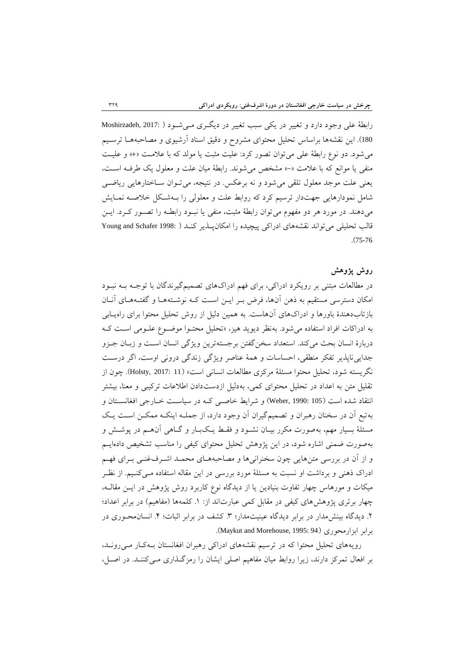رابطۀ علی وجود دارد و تغییر در یکی سبب تغییر در دیگری مـیشـود ( :Moshirzadeh, 2017 180). این نقشهها براساس تحلیل محتوای مشروح و دقیق اسناد آرشیوی و مصاحبههـا ترسـیم میشود. دو نوع رابطۀ علی میتوان تصور کرد: علیت مث ت یا مولد که با عالمات »+« و علیات منفی یا موانع که با عالمت »-« مشخی میشوند. رابطۀ میان علت و معلول یک طرفاه اسات، یعنی علت موجد معلول تلقی می شود و نه برعکس. در نتیجه، می تـوان سـاختارهایی ریاضـی شامل نمودارهایی جهتدار ترسیم کرد که روابط علت و معلولی را باه شاکل خالصاه نماایش میدهند. در مورد هر دو مفهوم می توان رابطۀ مثبت، منفی یا نبـود رابطــه را تصــور کــرد. ایــن قالب تحلیلی میتواند نقشههای ادراکی پیچیده را امکانپاذیر کناد ) 1998: Schafer and Young .)75-76

## **روش پژوهش**

در مطالعات مبتنی بر رویکرد ادراکی، برای فهم ادراکهای تصمیمگیرندگان با توجـه بــه نبــود امکان دسترسی مستقیم به ذهن آنها، فرض بـر ایـن اسـت کـه نوشـتههـا و گفتـههـای آنـان بازتابدهندة باورها و ادراکهای آنهاست. به همین دلیل از روش تحلیل محتوا برای راهیاابی به ادراکات افراد استفاده میشود. بهنظر دیوید هیز، »تحلیل محتاوا موضاوع علاومی اسات کاه دربارهٔ انسان بحث میکند. استعداد سخنگفتن برجستهترین ویژگی انسان است و زبـان جـزو جداییناپذیر تفکر منطقی، احساسات و همۀ عناصر ویژگی زندگی درونی اوست، اگر درسات نگریسته شود، تحلیل محتوا مسئلۀ مرکزی مطالعات انسانی است« )11 2017: ,Holsty). چون از تقلیل متن به اعداد در تحلیل محتوای کمی، بهدلیل ازدستدادن اطلاعات ترکیبی و معنا، بیشتر انتقاد شده است (105 :Weber, 1990) و شرایط خاصبی که در سیاست خارجی افغانستان و بهتبع آن در سخنان رهبران و تصمیمگیران آن وجود دارد، از جملـه اینکـه ممکـن اسـت یـک مسئلۀ بسیار مهم، بهصورت مکرر بیـان نشـود و فقـط یـکبـار و گـاهی آنهـم در پوشـش و بهصورت ضمنی اشاره شود، در این پژوهش تحلیل محتوای کیفی را مناسب تشخیی دادهایام و از آن در بررسی متنهایی چون سخنرانیها و مصاحبههـای محمـد اشـرفغنـی بـرای فهـم ادراک ذهنی و برداشت او نسبت به مسئلۀ مورد بررسی در این مقاله استفاده مـیکنـیم. از نظـر میکات و مورهاس چهار تفاوت بنیادین یا از دیدگاه نوع کاربرد روش پژوهش در ایان مقالاه، چهار برتری پژوهشهای کیفی در مقابل کمی عبارتاند از: ١. کلمهها (مفاهیم) در برابر اعداد؛ ۲. دیدگاه بینشمدار در برابر دیدگاه عینیتمدار؛ ۳. کشف در برابر اثبات؛ ۴. انسان¤حـوری در .)Maykut and Morehouse, 1995: 94( ابزارمحوری برابر

رویههای تحلیل محتوا که در ترسیم نقشههای ادراکی رهبران افغانستان بـهکار مـی رونـد، بر افعال تمرکز دارند، زیرا روابط میان مفاهیم اصلی ایشان را رمزگـذاری مـی کننـد. در اصـل،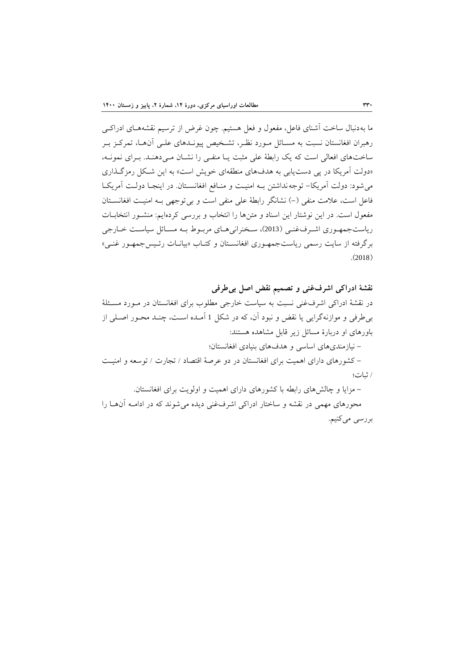ما بهدنبال ساخت آشنای فاعل، مفعول و فعل هستیم. چون غرض از ترسیم نقشههـای ادراکـی رهبران افغانستان نسبت به مسـائل مـورد نظـر، تشـخیص پیونـدهای علـی آن هـا، تمرکـز بـر ساختهای افعالی است که یک رابطۀ علی مثبت یـا منفـی را نشـان مـیدهنـد. بـرای نمونـه، «دولت آمریکا در پی دست پابی به هدفهای منطقهای خویش است» به این شکل رمزگذاری می شود: دولت آمریکا- توجه نداشتن بـه امنیـت و منـافع افغانسـتان. در اینجـا دولـت آمریکـا فاعل است، علامت منفی (–) نشانگر رابطۀ علی منفی است و بیتوجهی بـه امنیـت افغانسـتان مفعول است. در این نوشتار این اسناد و متنها را انتخاب و بررسی کردهایم: منشاور انتخاباات ریاستجمهوری اشرف غنبی (2013)، سخنرانی هـای مربـوط بـه مسـائل سیاسـت خـارجی برگرفته از سایت رسمی ریاستجمهـوری افغانسـتان و کتـاب «بیانــات رئـیسجمهـور غنــی»  $(2018)$ 

**نقشۀ ادراكی اشرفغنی و تصميم نقض اصل بیطرفی**  در نقشۀ ادراکی اشرفغنی نسبت به سیاست خارجی مطلوب برای افغانستان در مـورد مسـئلۀ بی طرفی و موازنهگرایی یا نقض و نبود آن، که در شکل 1 آمـده اسـت، چنـد محـور اصـلی از باورهای او دربارة مسائل زیر قابل مشاهده هستند:

- نیازمندیهای اساسی و هدفهای بنیادی افغانستان؛

- کشورهای دارای اهمیت برای افغانستان در دو عرصۀ اقتصاد / تجارت / توسعه و امنیات / ات؛

- مزایا و چالشهای رابطه با کشورهای دارای اهمیت و اولویت برای افغانستان.

محورهای مهمی در نقشه و ساختار ادراکی اشرفغنی دیده میشوند که در اداماه آن هاا را بررسی میکنیم.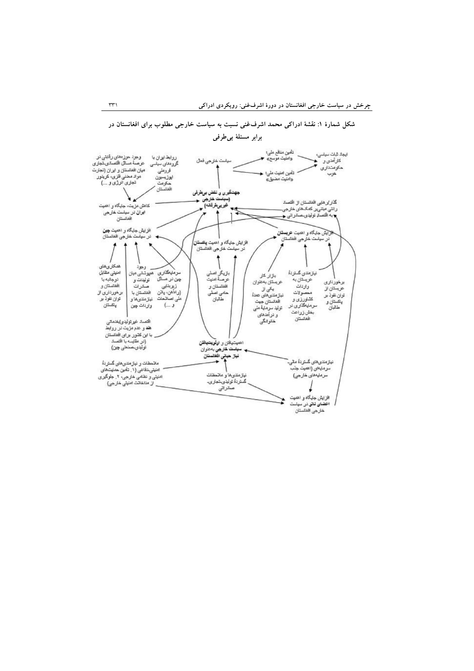

**شکل شمارة :1 نقشۀ ادراكی محمد اشرفغنی نسبت به سياست خارجی مطلوب براي افغانستان در** 

**برابر مسئلۀ بیطرفی**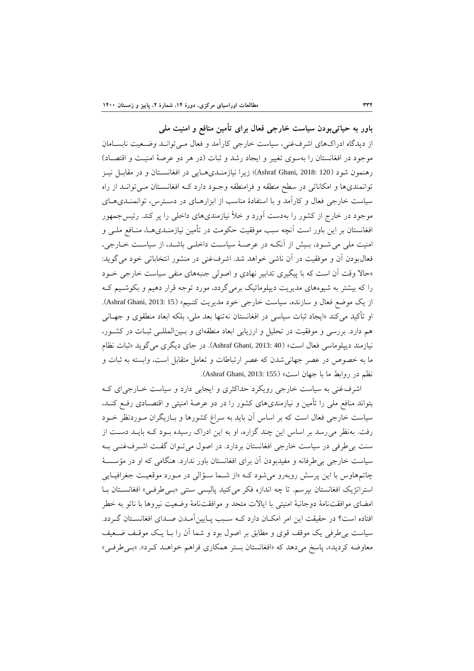**باور به حياتیبودن سياست خارجی فعال براي تأمين منافع و امنيت ملی**  از دیدگاه ادراکهای اشرفغنی، سیاست خارجی کارآمد و فعال مـیتوانـد وضـعیت نابسـامان موجود در افغانستان را بهسوی تغییر و ایجاد رشد و ثبات (در هر دو عرصۀ امنیت و اقتصـاد) رهنمون شود (Ashraf Ghani, 2018: 120)؛ زیرا نیازمنـدیهـایی در افغانسـتان و در مقابـل نیــز توانمندیها و امکاناتی در سطح منطقه و فرامنطقه وجـود دارد کـه افغانســتان مــی توانــد از راه سیاست خارجی فعال و کارآمد و با استفادة مناسب از ابزارهاای در دساترس، توانمنادی هاای موجود در خارج از کشور را بهدست آورد و خأل نیازمندیهای داخلی را پر کند. رئیسجمهور افغانستان بر این باور است آنچه سبب موفقیت حکومت در تأمین نیازمنـدیهـا، منـافع ملـی و امنیت ملی می شـود، بـیش از آنکـه در عرصـهٔ سیاسـت داخلـی باشـد، از سیاسـت خـارجی، فعالبودن آن و موفقیت در آن ناشی خواهد شد. اشرفغنی در منشور انتخاباتی خود میگوید: «حالا وقت آن است که با پیگیری تدابیر نهادی و اصولی جنبههای منفی سیاست خارجی خـود را که بیشتر به شیوههای مدیریت دیپلوماتیک برمیگردد، مورد توجه قرار دهیم و بکوشـیم کـه از یک موضع فعال و سازنده، سیاست خارجی خود مدیریت کنـیم» (Ashraf Ghani, 2013: 15). او تأکید میکند «ایجاد ثبات سیاسی در افغانستان نهتنها بعد ملی، بلکه ابعاد منطقوی و جهـانی هم دارد. بررسی و موفقیت در تحلیل و ارزیابی ابعاد منطقهای و بسین المللـی ثبـات در کشـور، نیازمند دیپلوماسی فعال است« )40 2013: ,Ghani Ashraf). در جای دیگری میگوید » ات نظام ما به خصوص در عصر جهانی شدن که عصر ارتباطات و تعامل متقابل است، وابسته به ثبات و نظم در روابط ما با جهان است» (Ashraf Ghani, 2013: 155).

اشرفغنی به سیاست خارجی رویکرد حداکثری و ایجابی دارد و سیاست خاارجی ای کاه بتواند منافع ملی را تأمین و نیازمندیهای کشور را در دو عرصۀ امنیتی و اقتصـادی رفـع کنـد، سیاست خارجی فعال است که بر اساس آن باید به سراغ کشورها و بـازیگران مـوردنظر خــود رفت. بهنظر میرسد بر اساس این چند گزاره، او به این ادراک رسیده باود کاه بایاد دسات از سنت بی طرفی در سیاست خارجی افغانستان بردارد. در اصول می تـوان گفـت اشـرفغنـی بـه سیاست خارجی بیطرفانه و مفیدبودن آن برای افغانستان باور ندارد. هنگامی که او در مؤسساۀ چاتمهاوس با این پرسش روبهرو میشود کاه »از شاما ساؤالی در ماورد موقعیات جغرافیا ایی استراتژیک افغانستان بپرسم. تا چه اندازه فکر میکنید پالیسی سنتی «بےطرفی» افغانستان با امضای موافقتنامۀ دوجانبۀ امنیتی با ایالات متحد و موافقتنامۀ وضعیت نیروها با ناتو به خطر افتاده است؟ در حقیقت این امر امکـان دارد کــه سـبب پـایین آمـدن صـدای افغانسـتان گـردد. سیاست بیطرفی یک موقف قوی و مطابق بر اصول بود و شما آن را باا یاک موقاف ضاعیف معاوضه کردید»، پاسخ میدهد که «افغانستان بستر همکاری فراهم خواهـد کـرد». «بـی طرفـی»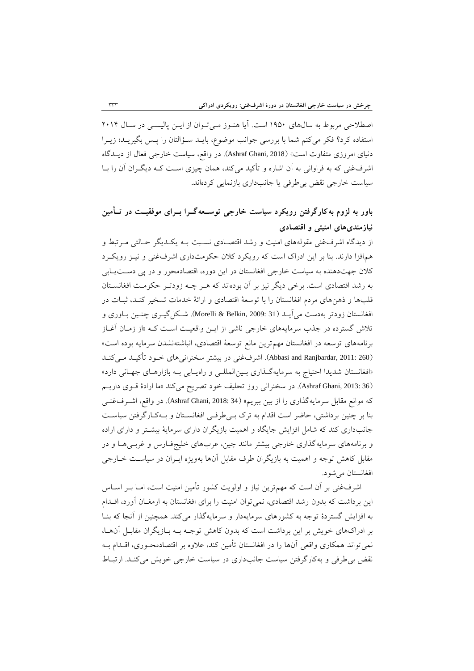اصطلاحی مربوط به سالهای ۱۹۵۰ است. آیا هنـوز مـیتوان از ایـن پالیسـی در سـال ۲۰۱۴ استفاده کرد؟ فکر میکنم شما با بررسی جوانب موضوع، بایـد سـؤالتان را پـس بگیریـد؛ زیـرا دنیای امروزی متفاوت است» (Ashraf Ghani, 2018). در واقع، سیاست خارجی فعال از دیــدگاه اشرفغنی که به فراوانی به آن اشاره و تأکید میکند، همان چیزی اسـت کـه دیگــران آن را بــا سیاست خارجی نقض بیطرفی یا جانبداری بازنمایی کردهاند.

# **باور به لزوم بهكارگرفتن رویکرد سياست خارجی توسععه گعرا بعراي موفقيعت در تعأمين نيازمنديهاي امنيتی و اقتصادي**

از دیدگاه اشرفغنی مقولههای امنیت و رشد اقتصـادی نسـبت بـه یکـدیگر حـالتی مـرتبط و همافزا دارند. بنا بر این ادراک است که رویکرد کالن حکومتداری اشرفغنی و نیاز رویکارد کلان جهتدهنده به سیاست خارجی افغانستان در این دوره، اقتصادمحور و در پی دستیابی به رشد اقتصادی است. برخی دیگر نیز بر آن بودهاند که هـر چـه زودتـر حکومـت افغانسـتان قلبها و ذهنهای مردم افغانستان را با توسعۀ اقتصادی و ارائۀ خدمات تسخیر کناد، اات در افغانستان زودتر بهدست میآیــد (Morelli & Belkin, 2009: 31). شــکل گیــری چنــین بــاوری و تلاش گسترده در جذب سرمایههای خارجی ناشی از ایـن واقعیـت اسـت کـه «از زمـان آغـاز برنامههای توسعه در افغانستان مهمترین مانع توسعۀ اقتصادی، انباشتهنشدن سرمایه بوده است» (Abbasi and Ranjbardar, 2011: 260). اشرفغنی در بیشتر سخنرانیهای خـود تأکیــد مـیکنــد «افغانستان شدیدا احتیاج به سرمایهگذاری بـین|لمللـی و راه یـابی بـه بازارهـای جهـانی دارد» )36 2013: ,Ghani Ashraf). در سخنرانی روز تحلیف خود تصریح میکند »ما ارادة قاوی داریام که موانع مقابل سرمایهگذاری را از بین ببریم» (Ashraf Ghani, 2018: 34). در واقع، اشـرفغنـی بنا بر چنین برداشتی، حاضر است اقدام به ترک بےطرفی افغانستان و بهکارگرفتن سیاست جانبداری کند که شامل افزایش جایگاه و اهمیت بازیگران دارای سرمایۀ بیشاتر و دارای اراده و برنامههای سرمایهگذاری خارجی بیشتر مانند چین، عربهای خلیجفاارس و غربای هاا و در مقابل کاهش توجه و اهمیت به بازیگران طرف مقابل آنها بهویژه ایاران در سیاسات خاارجی افغانستان میشود.

اشرفغنی بر آن است که مهمترین نیاز و اولویت کشور تأمین امنیت است، امـا بــر اســاس این برداشت که بدون رشد اقتصادی، نمی توان امنیت را برای افغانستان به ارمغـان آورد، اقــدام به افزایش گستردة توجه به کشورهای سرمایهدار و سرمایهگذار میکند. همچنین از آنجا که بناا بر ادراکهای خویش بر این برداشت است که بدون کاهش توجاه باه باازیگران مقابال آن هاا، نمی تواند همکاری واقعی آنها را در افغانستان تأمین کند، علاوه بر اقتصادمحـوری، اقــدام بــه نقض بی طرفی و بهکارگرفتن سیاست جانبداری در سیاست خارجی خویش میکند. ارتباط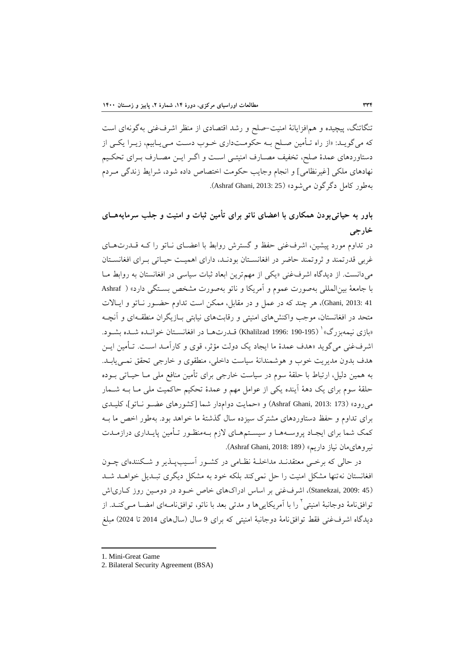تنگاتنگ، پیچیده و همافزایانۀ امنیت-صلح و رشد اقتصادی از منظر اشرفغنی بهگونهای است که میگویــد: «از راه تـأمین صـلح بــه حکومــتداری خــوب دســت مــی1یـابیم، زیــرا یکــی از دستاوردهای عمدهٔ صلح، تخفیف مصـارف امنیتـی اسـت و اگـر ایـن مصـارف بـرای تحکـیم نهادهای ملکی [غیرنظامی] و انجام وجایب حکومت اختصاص داده شود، شرایط زندگی مـردم بهطور کامل دگر گون می شود» (Ashraf Ghani, 2013: 25).

# **باور به حياتیبودن همکاري با اعضاي ناتو براي تأمين ثبات و امنيت و جلب سرمایههعاي خارجی**

در تداوم مورد پیشین، اشرفغنی حفظ و گسترش روابط با اعضـای نـاتو را کـه قـدرتهـای غربی قدرتمند و ثروتمند حاضر در افغانستان بودنـد، دارای اهمیـت حیـاتی بـرای افغانسـتان می دانست. از دیدگاه اشرفغنی «یکی از مهمترین ابعاد ثبات سیاسی در افغانستان به روابط مـا با جامعۀ بین المللی بهصورت عموم و آمریکا و ناتو بهصورت مشخص بستگی دارد» ( Ashraf 41 :Ghani, 2013)، هر چند که در عمل و در مقابل، ممکن است تداوم حضـور نـاتو و ایـالات متحد در افغانستان، موجب واکنشهای امنیتی و رقابتهای نیابتی باازیگران منطقاه ای و آنچاه ابازی نیمهبزرگ»<sup>۱</sup> (Khalilzad 1996: 190-195) قــدرتهــا در افغانســتان خوانــده شــده بشــود. اشرفغنی می گوید «هدف عمدهٔ ما ایجاد یک دولت مؤثر، قوی و کارآمـد اسـت. تـأمین ایــن هدف بدون مدیریت خوب و هوشمندانۀ سیاست داخلی، منطقوی و خارجی تحقق نمای یاباد. به همین دلیل، ارتباط با حلقۀ سوم در سیاست خارجی برای تأمین منافع ملی مـا حیـاتی بــوده حلقۀ سوم برای یک دهۀ آینده یکی از عوامل مهم و عمدۀ تحکیم حاکمیت ملی مـا بــه شــمار میرود« )173 2013: ,Ghani Ashraf )و »حمایت دوامدار شما ]کشورهای عضاو نا اتو[، کلیادی برای تداوم و حفظ دستاوردهای مشترک سیزده سال گذشتۀ ما خواهد بود. بهطور اخص ما بـه کمک شما برای ایجـاد پروسـههـا و سیسـتمهـای لازم بـهمنظـور تـأمین پایـداری درازمـدت نیروهای مان نیاز داریم» (Ashraf Ghani, 2018: 189).

در حالی که برخی معتقدنـد مداخلـۀ نظـامی در کشـور آسـیبپـذیر و شـکنندهای چـون افغانستان نهتنها مشکل امنیت را حل نمی کند بلکه خود به مشکل دیگری تبـدیل خواهــد شــد )45 2009: ,Stanekzai)، اشرفغنی بر اساس ادراکهای خاد خاود در دوماین روز کااری اش نوافق $\omega$ نامۀ دوجانبۀ امنیتی  $^1$  را با آمریکاییها و مدتی بعد با ناتو، توافق $\omega$ نامای امضــا مــیکنــد. از دیدگاه اشرفغنی فقط توافقنامۀ دوجانبۀ امنیتی که برای 9 سال (سال۵ای 2014 تا 2024) مبلغ

-

<sup>1.</sup> Mini-Great Game

<sup>2</sup>. Bilateral Security Agreement (BSA)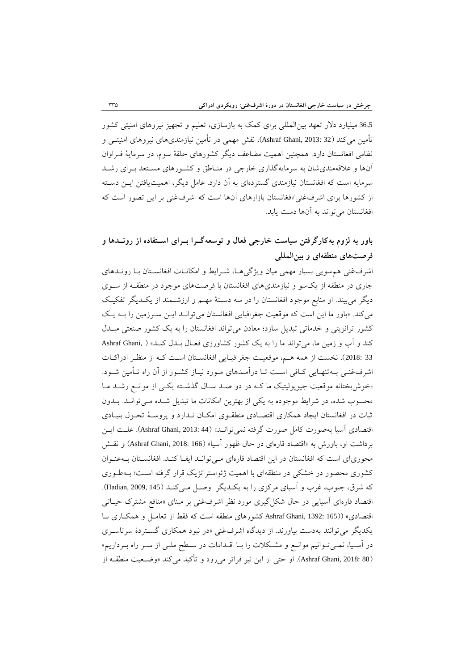<sup>36</sup>،<sup>5</sup> میلیارد دالر تعهد بینالمللی برای کمک به بازسازی، تعلیم و تجهیز نیروهای امنیتی کشور تأمین میکند (32 :Ashraf Ghani, 2013)، نقش مهمی در تأمین نیازمندیهای نیروهای امنیتــی و نظامی افغانستان دارد. همچنین اهمیت مضاعف دیگر کشورهای حلقۀ سوم، در سرمایۀ فاراوان آنها و عالقهمندیشان به سرمایهگذاری خارجی در منااطق و کشاورهای مساتعد بارای رشاد سرمایه است که افغانستان نیازمندی گستردهای به آن دارد. عامل دیگر، اهمیتیافتن ایان دساته از کشورها برای اشرفغنی/افغانستان بازارهای آنها است که اشرفغنی بر این تصور است که افغانستان میتواند به آنها دست یابد.

# **باور به لزوم بهكارگرفتن سياست خارجی فعال و توسعهگعرا بعراي اسعتهاده از رونعدها و فرصتهاي منطقهاي و بينالمللی**

اشرفغنی هم سویی بسیار مهمی میان ویژگی هـا، شـرایط و امکانــات افغانســتان بــا رونــدهای جاری در منطقه از یکسو و نیازمندیهای افغانستان با فرصتهای موجود در منطقاه از ساوی دیگر میبیند. او منابع موجود افغانستان را در سه دسـتۀ مهـم و ارزشـمند از یکـدیگر تفکیـک میکند. «باور ما این است که موقعیت جغرافیایی افغانستان می توانـد ایـن سـرزمین را بـه یـک کشور ترانزیتی و خدماتی تبدیل سازد؛ معادن می تواند افغانستان را به یک کشور صنعتی مبــدل کند و آب و زمین ما، میتواند ما را به یک کشور کشاورزی فعـال بــدل کنــد» ( Ashraf Ghani, 33 :2018). نخست از همه هم، موقعیت جغرافیایی افغانستان است کـه از منظـر ادراکـات اشرفغنـی بـه تنهـایی کـافی اسـت تـا درآمـدهای مـورد نیـاز کشـور از آن راه تـأمین شـود. «خوش بختانه موقعیت جیوپولیتیک ما کـه در دو صـد سـال گذشـته یکـی از موانـع رشـد مـا محسوب شده، در شرایط موجوده به یکی از بهترین امکانات ما تبدیل شده می تواند. بلدون ثبات در افغانستان ایجاد همکاری اقتصادی منطقوی امکان نـدارد و پروسـۀ تحـول بنیـادی اقتصادی آسیا بهصورت کامل صورت گرفته نمی توانـد» (Ashraf Ghani, 2013: 44). علـت ایــن برداشت او، باورش به «اقتصاد قارهای در حال ظهور آسیا» (Ashraf Ghani, 2018: 166) و نقــش محوریای است که افغانستان در این اقتصاد قارهای می توانید ایفا کنید. افغانستان بیه عنوان کشوری محصور در خشکی در منطقهای با اهمیت ژئواستراتژیک قرار گرفته اسات؛ باه طاوری که شرق، جنوب، غرب و آسیای مرکزی را به یک دیگر وصل مـی کنـد (Hadian, 2009, 145). اقتصاد قارهای آسیایی در حال شکل گیری مورد نظر اشرفغنی بر مبنای «منافع مشترک حیـاتی اقتصادی» (Ashraf Ghani, 1392: 165) کشورهای منطقه است که فقط از تعامـل و همکـاری بـا یکدیگر می توانند بهدست بیاورند. از دیدگاه اشرفغنی «در نبود همکاری گستردهٔ سرتاسـری در آسـیا، نمـیتوانیم موانـع و مشـکلات را بـا اقـدامات در سـطح ملـی از سـر راه بـرداریم» )88 2018: ,Ghani Ashraf). او حتی از این نیز فراتر میرود و ترکید میکند »وضاعیت منطقاه از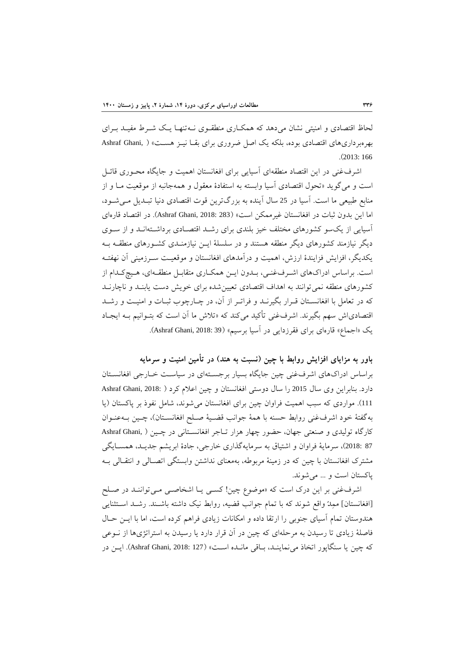لحاظ اقتصادی و امنیتی نشان می دهد که همکـاری منطقـوی نــهتنهـا یـک شــرط مفیــد بــرای بهرهبرداریهای اقتصادی بوده، بلکه یک اصل ضروری برای بقــا نیــز هســت» ( .Ashraf Ghani .)2013: 166

اشرفغنی در این اقتصاد منطقهای آسیایی برای افغانستان اهمیت و جایگاه محاوری قائال است و می گوید «تحول اقتصادی آسیا وابسته به استفادهٔ معقول و همهجانبه از موقعیت مـا و از منابع طبیعی ما است. آسیا در 25 سال آینده به بزرگترین قوت اقتصادی دنیا تبـدیل مـی شـود، اما این بدون ثبات در افغانستان غیرممکن است» (Ashraf Ghani, 2018: 283). در اقتصاد قارهای آسیایی از یکسو کشورهای مختلف خیز بلندی برای رشد اقتصادی برداشتهان دو از سوی دیگر نیازمند کشورهای دیگر منطقه هستند و در سلسلۀ ایان نیازمنادی کشاورهای منطقاه باه یکدیگر، افزایش فزایندة ارزش، اهمیت و درآمدهای افغانستان و موقعیات سارزمینی آن نهفتاه است. براساس ادراکهای اشـرفغنـی، بـدون ایـن همکـاری متقابـل منطقـهای، هـیچکـدام از کشورهای منطقه نمی توانند به اهداف اقتصادی تعیین شده برای خویش دست یابنـد و ناچارنـد که در تعامل با افغانسـتان قـرار بگیرنــد و فراتـر از آن، در چــارچوب ثبــات و امنیــت و رشــد اقتصادیاش سهم بگیرند. اشرفغنی تأکید میکند که «تلاش ما آن است که بتـوانیم بـه ایجـاد یک «اجماع» قارهای برای فقرزدایی در آسیا برسیم» (39 Ashraf Ghani, 2018: 39).

**باور به مزایاي افزایش روابط با چين )نسبت به هند( در تأمين امنيت و سرمایه**  براساس ادراکهای اشرفغنی چین جایگاه بسیار برجستهای در سیاست خـارجی افغانسـتان دارد. بنابراین وی سال 2015 را سال دوستی افغانستان و چین اعلام کرد ( Ashraf Ghani, 2018: ) 111). مواردی که سبب اهمیت فراوان چین برای افغانستان می شوند، شامل نفوذ بر پاکستان (یا بهگفتۀ خود اشرفغنی روابط حسنه با همۀ جوانب قضیۀ صـلح افغانسـتان)، چـین بـهعنـوان کارگاه تولیدی و صنعتی جهان، حضور چهار هزار تـاجر افغانسـتانی در چـین ( ,Ashraf Ghani 87 :2018)، سرمایۀ فراوان و اشتیاق به سرمایهگذاری خارجی، جادۀ ابریشم جدیـد، همسـایگی مشترک افغانستان با چین که در زمینۀ مربوطه، بهمعنای نداشتن وابستگی اتصاالی و انتقاالی باه پاکستان است و ... میشوند.

اشرفغنی بر این درک است که «موضوع چین! کسبی یـا اشخاصـی مـی تواننـد در صـلح [افغانستان] ممِدّ واقع شوند که با تمام جوانب قضیه، روابط نیک داشته باشـند. رشـد اسـتثنایی هندوستان تمام آسیای جنوبی را ارتقا داده و امکانات زیادی فراهم کرده است، اما با ایان حاال فاصلۀ زیادی تا رسیدن به مرحلهای که چین در آن قرار دارد یا رسیدن به استراتژیها از ناوعی که چین یا سنگاپور اتخاذ می نماینــد، بــاقی مانــده اســت» (Ashraf Ghani, 2018: 127). ایــن در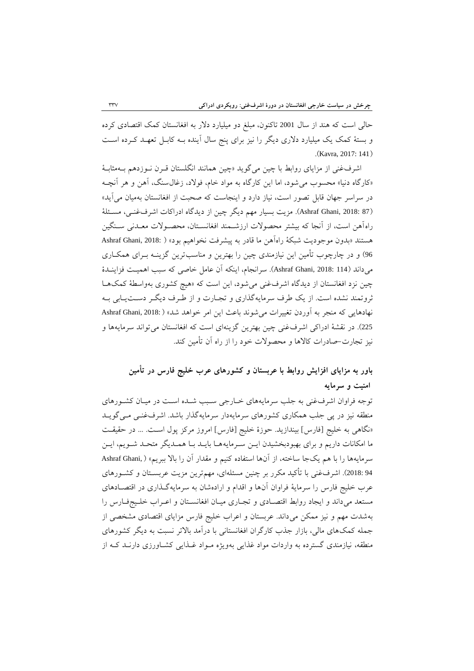حالی است که هند از سال 2001 تاکنون، مبلغ دو میلیارد دلار به افغانستان کمک اقتصادی کرده و بستۀ کمک یک میلیارد دالرى دیگر را نیز براى پنج سال آینده باه کابال تعهاد کارده اسات .(Kavra, 2017: 141)

اشرفغنی از مزایای روابط با چین میگوید «چین همانند انگلستان قــرن نــوزدهم بــهمثابــهٔ «کارگاه دنیا» محسوب می شود، اما این کارگاه به مواد خام، فولاد، زغال $\ldots$ ، آهن و هر آنچـه در سراسر جهان قابل تصور است، نیاز دارد و اینجاست که صحبت از افغانستان بهمیان می آید» (Ashraf Ghani, 2018: 87). مزیت بسیار مهم دیگر چین از دیدگاه ادراکات اشرفغنسی، مسـئلۀ راهآهن است، از آنجا که بیشتر محصولات ارزشـمند افغانسـتان، محصـولات معـدنی سـنگین هستند «بدون موجودیت شبکهٔ راهآهن ما قادر به پیشرفت نخواهیم بود» ( :Ashraf Ghani, 2018 96) و در چارچوب تأمین این نیازمندی چین را بهترین و مناسبترین گزینــه بــرای همکــاری میداند (114 Ashraf Ghani, 2018: 114). سرانجام، اینکه آن عامل خاصی که سبب اهمیت فزاینـدهٔ چین نزد افغانستان از دیدگاه اشرفغنی میشود، این است که »هی کشوری بهواسطۀ کمکهاا ثروتمند نشده است. از یک طرف سرمایهگذاری و تجـارت و از طـرف دیگـر دسـتیـابی بـه نهادهایی که منجر به آوردن تغییرات می شوند باعث این امر خواهد شد» ( :Ashraf Ghani, 2018 <sup>225</sup>(. در نقشۀ ادراکی اشرفغنی چین بهترین گزینهای است که افغانستان میتواند سرمایهها و نیز تجارت–صادرات کالاها و محصولات خود را از راه آن تأمین کند.

# **باور به مزایاي افزایش روابط با عربستان و كشورهاي عرب خليج فارس در تأمين امنيت و سرمایه**

توجه فراوان اشرفغنی به جلب سرمایههای خـارجی سـبب شـده اسـت در میـان کشـورهای منطقه نیز در پی جلب همکاری کشورهای سرمایهدار سرمایهگذار باشد. اشرفغنسی مسیگویـد «نگاهی به خلیج [فارس] بیندازید. حوزهٔ خلیج [فارس] امروز مرکز پول اسـت. ... در حقیقـت ما امکانات داریم و برای بهبودبخشیدن ایـن سـرمایههـا بایـد بـا همـدیگر متحـد شـویم، ایـن سرمایهها را با هم یکجا ساخته، از آنها استفاده کنیم و مقدار آن را بالا ببریم» ( Ashraf Ghani, 94 :2018). اشرفغنی با تأکید مکرر بر چنین مسئلهای، مهمترین مزیت عربســتان و کشــورهای عرب خلیج فارس را سرمایۀ فراوان آنها و اقدام و ارادهشان به سرمایهگاذاری در اقتصاادها ی مستعد میداند و ایجاد روابط اقتصادی و تجاری میان افغانستان و اعـراب خلـیجفارس را بهشدت مهم و نیز ممکن میداند. عربستان و اعراب خلیج فارس مزایای اقتصادی مشخصی از جمله کمکهای مالی، بازار جذب کارگران افغانستانی با درآمد بالاتر نسبت به دیگر کشورهای منطقه، نیازمندی گسترده به واردات مواد غذایی بهویژه مـواد غـذایی کشـاورزی دارنــد کــه از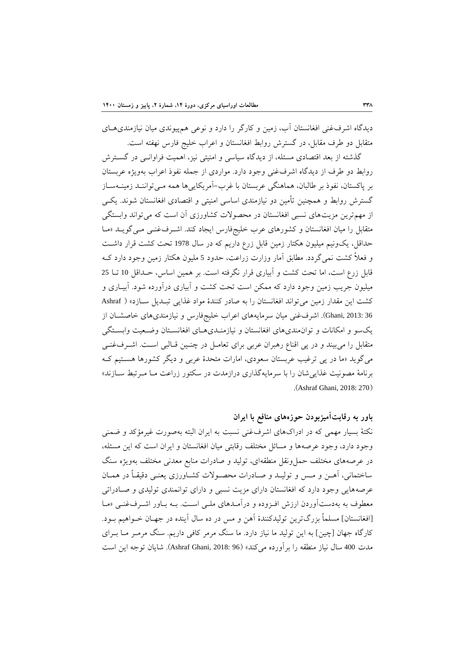دیدگاه اشرفغنی افغانستان آب، زمین و کارگر را دارد و نوعی همپیوندی میان نیازمندیهاای متقابل دو طرف مقابل، در گسترش روابط افغانستان و اعراب خلیج فارس نهفته است.

گذشته از بعد اقتصادی مسئله، از دیدگاه سیاسی و امنیتی نیز، اهمیت فراوانای در گساترش روابط دو طرف از دیدگاه اشرفغنی وجود دارد. مواردی از جمله نفوذ اعراب بهویژه عربستان بر پاکستان، نفوذ بر طالبان، هماهنگی عربستان با غرب–آمریکاییها همه مـی تواننـد زمینــهسـاز گسترش روابط و همچنین تأمین دو نیازمندی اساسی امنیتی و اقتصادی افغانستان شوند. یکـی از مهمترین مزیتهای نسبی افغانستان در محصولات کشاورزی آن است که می تواند وابستگی متقابل را میان افغانستان و کشورهای عرب خلیجفارس ایجاد کند. اشـرف غنـی مـی گویـد «مـا حداقل، یکونیم میلیون هکتار زمین قابل زرع داریم که در سال <sup>1978</sup> تحت کشت قرار داشات و فعالً کشت نمیگردد. مطابق آمار وزارت زراعت، حدود <sup>5</sup> ملیون هکتار زمین وجود دارد کاه قابل زرع است، اما تحت کشت و آبیاری قرار نگرفته است. بر همین اساس، حاداقل <sup>10</sup> تاا <sup>25</sup> میلیون جریب زمین وجود دارد که ممکن است تحت کشت و آبیاری درآورده شود. آبیااری و کشت این مقدار زمین می تواند افغانستان را به صادر کنندهٔ مواد غذایی تبلدیل سازد» ( Ashraf 36 2013: ,Ghani). اشرفغنی میان سرمایههای اعراب خلیجفارس و نیازمندیهای خاصشاان از یکسو و امکانات و توانمندیهای افغانستان و نیازمنـدیهـای افغانسـتان وضـعیت وابسـتگی متقابل را میبیند و در پی اقناع رهبران عربی برای تعامـل در چنـین قـالبی اسـت. اشـرفغنـی میگوید »ما در پی ترغیب عربستان سعودی، امارات متحدة عربی و دیگر کشورها هساتیم کاه برنامۀ مصونیت غذاییشان را با سرمایهگذاری درازمدت در سکتور زراعت مـا مـرتبط ســازند» .(Ashraf Ghani, 2018: 270)

**باور به رقابتآميزبودن حوزههاي منافع با ایران**

نکتۀ بسیار مهمی که در ادراکهای اشرفغنی نسبت به ایران البته بهصورت غیرمؤکد و ضمنی وجود دارد، وجود عرصهها و مسائل مختلف رقابتی میان افغانستان و ایران است که این مسئله، در عرصههای مختلف حملونقل منطقهای، تولید و صادرات منابع معدنی مختلف بهویژه سنگ ساختمانی، آهـن و مـس و تولیـد و صـادرات محصـولات کشـاورزی یعنـی دقیقـاً در همـان عرصههایی وجود دارد که افغانستان دارای مزیت نسبی و دارای توانمندی تولیدی و صـادراتی معطوف به بهدستآوردن ارزش افزوده و درآمـدهای ملـی اسـت. بـه بـاور اشـرفغنـی «مـا ]افغانستان[ مسلماً بزرگترین تولیدکنندة آهن و مس در ده سال آینده در جهاان خاواهیم باود. کارگاه جهان [چین] به این تولید ما نیاز دارد. ما سنگ مرمر کافی داریم. سنگ مرمـر مــا بــرای مدت <sup>400</sup> سال نیاز منطقه را برآورده میکند« )96 2018: ,Ghani Ashraf). شایان توجه این است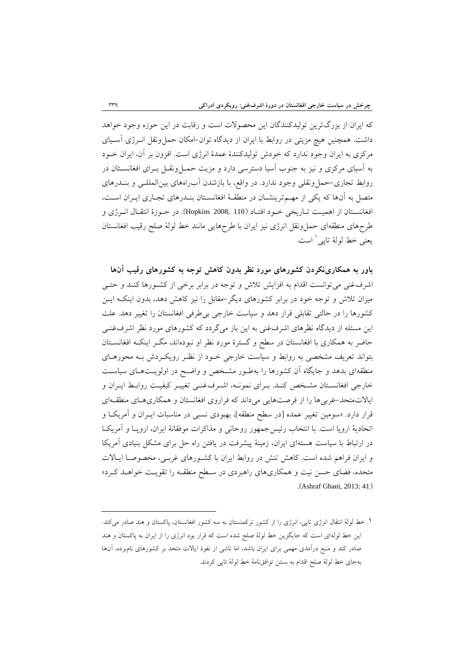که ایران از بزرگترین تولیدکنندگان این محصوالت است و رقابت در این حوزه وجود خواهد داشت. همچنین هیچ مزیتی در روابط با ایران از دیدگاه توان-امکان حمل ونقل انـرژی آسـیای مرکزی به ایران وجود ندارد که خودش تولیدکنندهٔ عمدهٔ انرژی است. افزون بر آن، ایران خــود به آسیای مرکزی و نیز به جنوب آسیا دسترسی دارد و مزیت حمال ونقال بارای افغانساتان در روابط تجاری-حملونقلی وجود ندارد. در واقع، با بازشدن آبراههای بینالمللای و بنادرهای متصل به آنها که یکی از مهـمترینشـان در منطقـهٔ افغانسـتان بنـدرهای تجـاری ایــران اسـت، افغانستان از اهمیت تـاریخی خـود افتـاد (110 ,Hopkins) 2008 در حـوزهٔ انتقـال انـرژی و طر های منطقهای حملونقل انرژی نیز ایران با طر هایی مانند خط لولۀ صلح رقیب افغانستان یعنی خط لولۀ تاپی 1 است.

**باور به همکارينکردن كشورهاي مورد نظر بدون كاهش توجه به كشورهاي رقيب آنها** اشرفغنی می توانست اقدام به افزایش تلاش و توجه در برابر برخی از کشـورها کنـد و حتـی میزان تالش و توجه خود در برابر کشورهای دیگر-مقابل را نیز کاهش دهد، بدون اینکاه ایان کشورها را در حالتی تقابلی قرار دهد و سیاست خارجی بیطرفی افغانستان را تغییر دهد. علت این مسئله از دیدگاه نظرهای اشرفغنی به این باز میگردد که کشورهای مورد نظر اشرفغنـی حاضر به همکاری با افغانستان در سطح و گسترهٔ مورد نظر او نبودهاند، مگــر اینکــه افغانســتان بتواند تعریف مشخصی به روابط و سیاست خارجی خـود از نظـر رویکـردش بـه محورهـای منطقهای بدهد و جایگاه آن کشورها را بهطـور مشـخص و واضـح در اولویـتهـای سیاسـت خارجی افغانستان مشخص کنـد. بـرای نمونـه، اشـرفغنـی تغییـر کیفیـت روابـط ایـران و ایالاتمتحد-غربی ها را از فرصتهایی میداند که فراروی افغانستان و همکاری های منطقهای قرار دارد. «سومین تغییر عمده [در سطح منطقه]، بهبودی نسبی در مناسبات ایــران و آمریکــا و اتحادیۀ اروپا است. با انتخاب رئیسجمهور روحانی و مذاکرات موفقانۀ ایران، اروپاا و آمریکاا در ارتباط با سیاست هستهای ایران، زمینۀ پیشرفت در یافتن راه حل برای مشکل بنیادی آمریکا و ایران فراهم شده است. کاهش تنش در روابط ایران با کشـورهای غربـی، مخصوصـا ایـالات متحده، فضای حسن نیت و همکاریهای راهبردی در سـطح منطقـه را تقویـت خواهــد کــرد» .)Ashraf Ghani, 2013: 41(

-

<sup>.</sup>1 خط لولۀ انتقال انرژی تاپی، انرژی را از کشور ترکمنستان به سه کشور افغانستان، پاکستان و هند صادر میکند. این خط لولهای است که جایگزین خط لولۀ صلح شده است که قرار بود انرژی را از ایران به پاکستان و هند صادر کند و منبع درآمدی مهمی برای ایران باشد، اما ناشی از نفوذ ایالات متحد بر کشورهای نامبرده، آنها بهجای خط لولۀ صلح اقدام به بستن توافقنامۀ خط لولۀ تاپی کردند.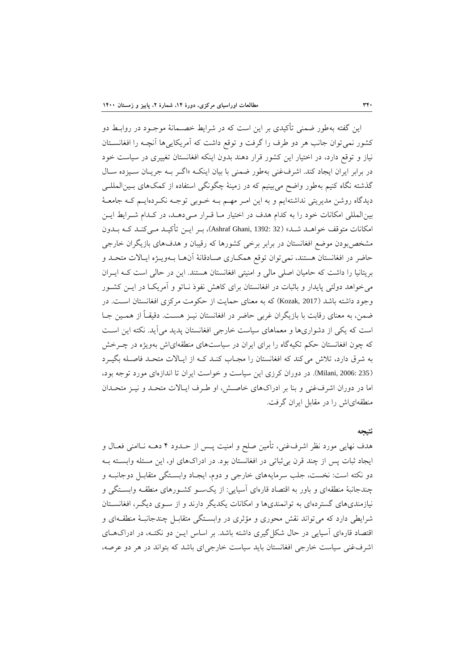این گفته بهطور ضمنی تأکیدی بر این است که در شرایط خصـمانۀ موجـود در روابـط دو کشور نمیتوان جانب هر دو طرف را گرفت و توقع داشت که آمریکاییها آنچـه را افغانســتان نیاز و توقع دارد، در اختیار این کشور قرار دهند بدون اینکه افغانستان تغییری در سیاست خود در برابر ایران ایجاد کند. اشرفغنی بهطور ضمنی با بیان اینکه «اگـر بـه جریـان سـیزده سـال گذشته نگاه کنیم بهطور واضح میبینیم که در زمینۀ چگونگی استفاده از کمکهای باین المللای دیدگاه روشن مدیریتی نداشتهایم و به این امـر مهـم بــه خــوبی توجــه نکــردهایــم کــه جامعــهٔ بین المللی امکانات خود را به کدام هدف در اختیار مـا قـرار مـی دهـد، در کـدام شـرایط ایـن امکانات متوقف خواهــد شــد» (Ashraf Ghani, 1392: 32)، بــر ایــن تأکیــد مــی کنــد کــه بــدون مشخص بودن موضع افغانستان در برابر برخی کشورها که رقیبان و هدفهای بازیگران خارجی حاضر در افغانستان هستند، نمیتوان توقع همکـاری صـادقانۀ آنهـا بـهویـژه ایـالات متحـد و بریتانیا را داشت که حامیان اصلی مالی و امنیتی افغانستان هستند. این در حالی است کاه ایاران می خواهد دولتی پایدار و باثبات در افغانستان برای کاهش نفوذ نـاتو و آمریکـا در ایــن کشــور وجود داشته باشد (2017 ,Kozak) که به معنای حمایت از حکومت مرکزی افغانستان است. در ضمن، به معنای رقابت با بازیگران غربی حاضر در افغانستان نیــز هســت. دقیقــاً از همــین جــا است که یکی از دشواریها و معماهای سیاست خارجی افغانستان پدید میآید. نکته این اسات که چون افغانستان حکم تکیهگاه را برای ایران در سیاستهای منطقهایاش بهویژه در چارخش به شرق دارد، تلاش می کند که افغانستان را مجـاب کنـد کـه از ایـالات متحـد فاصـله بگیـرد )235 2006: ,Milani). در دوران کرزی این سیاست و خواست ایران تا اندازهای مورد توجه بود، اما در دوران اشرفغنی و بنا بر ادراکهای خاصش، او طرف ایـالات متحـد و نیـز متحـدان منطقهایاش را در مقابل ایران گرفت.

#### **نتيجه**

هدف نهایی مورد نظر اشرفغنی، تأمین صلح و امنیت پــس از حــدود ۴ دهــه نــاامنی فعــال و ایجاد ثبات پس از چند قرن بی ثباتی در افغانستان بود. در ادراکهای او، این مسئله وابسته بـه دو نکته است: نخست، جلب سرمایههای خارجی و دوم، ایجـاد وابسـتگی متقابـل دوجانبـه و چندجانبهٔ منطقهای و باور به اقتصاد قارهای آسیایی: از یکسو کشورهای منطقـه وابسـتگی و نیازمندیهای گستردهای به توانمندیها و امکانات یکدیگر دارند و از ساوی دیگار، افغانساتان شرایطی دارد که می تواند نقش محوری و مؤثری در وابستگی متقابـل چندجانبـۀ منطقـهای و اقتصاد قارهای آسیایی در حال شکل گیری داشته باشد. بر اساس ایـن دو نکتـه، در ادراکهـای اشرفغنی سیاست خارجی افغانستان باید سیاست خارجیای باشد که بتواند در هر دو عرصه،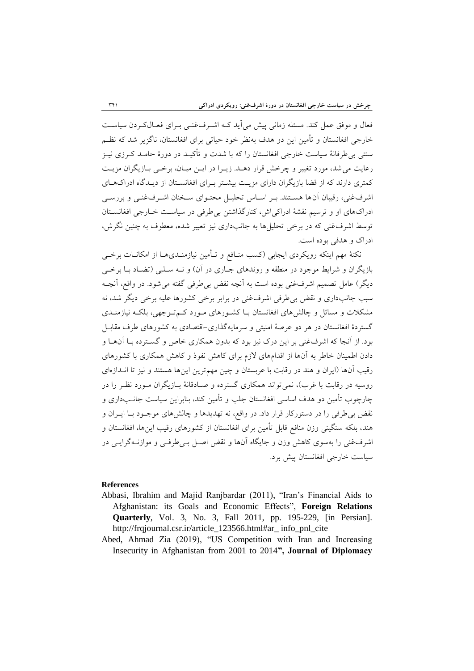فعال و موفق عمل کند. مسئله زمانی پیش می آید کـه اشـرفغنـی بـرای فعـالکـردن سیاسـت خارجی افغانستان و تأمین این دو هدف بهنظر خود حیاتی برای افغانستان، ناگزیر شد که نظـم سنتی بیطرفانۀ سیاست خارجی افغانستان را که با شدت و ترکیاد در دورة حاماد کارزی نیاز رعایت می شد، مورد تغییر و چرخش قرار دهـد. زیـرا در ایـن میـان، برخـی بـازیگران مزیـت کمتری دارند که از قضا بازیگران دارای مزیت بیشتر بـرای افغانسـتان از دیـدگاه ادراکهـای اشرفغنی، رقیبان آنها هستند. بـر اسـاس تحلیـل محتـوای سـخنان اشـرفغنـی و بررسـی ادراکهای او و ترسیم نقشۀ ادراکیاش، کنارگذاشتن بیطرفی در سیاسات خاارجی افغانساتان توسط اشرفغنی که در برخی تحلیل ها به جانبداری نیز تعبیر شده، معطوف به چنین نگرش، ادراک و هدفی بوده است.

نکتۀ مهم اینکه رویکردی ایجابی (کسب منـافع و تــأمین نیازمنــدیهــا از امکانــات برخــی بازیگران و شرایط موجود در منطقه و روندهای جـاری در آن) و نــه سـلبی (تضـاد بـا برخــی دیگر) عامل تصمیم اشرفءغنی بوده است به آنچه نقض بی طرفی گفته می شود. در واقع، آنچـه سبب جانبداری و نقض بی طرفی اشرفغنی در برابر برخی کشورها علیه برخی دیگر شد، نه مشکلات و مسائل و چالشهای افغانستان بـا کشـورهای مـورد کـمتـوجهی، بلکـه نیازمنــدی گستردة افغانستان در هر دو عرصۀ امنیتی و سرمایهگذاری-اقتصادی به کشورهای طرف مقابال بود. از آنجا که اشرفغنی بر این درک نیز بود که بدون همکاری خاص و گسترده بـا آنهــا و دادن اطمینان خاطر به آنها از اقدامهای الزم برای کاهش نفوذ و کاهش همکاری با کشورهای رقیب آنها )ایران و هند در رقابت با عربستان و چین مهمترین اینها هستند و نیز تا انادازه ای روسیه در رقابت با غرب)، نمی تواند همکاری گسترده و صـادقانۀ بــازیگران مــورد نظـر را در چارچوب تأمین دو هدف اساسی افغانستان جلب و تأمین کند، بنابراین سیاست جانــبداری و نقض بیطرفی را در دستورکار قرار داد. در واقع، نه تهدیدها و چالشهای موجاود باا ایاران و هند، بلکه سنگینی وزن منافع قابل تأمین برای افغانستان از کشورهای رقیب اینها، افغانستان و اشرفغنی را بهسوی کاهش وزن و جایگاه آنها و نقض اصال بای طرفای و موازناه گرایای در سیاست خارجی افغانستان پیش برد.

#### **References**

- Abbasi, Ibrahim and Majid Ranjbardar (2011), "Iran's Financial Aids to Afghanistan: its Goals and Economic Effects", **Foreign Relations Quarterly**, Vol. 3, No. 3, Fall 2011, pp. 195-229, [in Persian]. http://frqjournal.csr.ir/article\_123566.html#ar\_ info\_pnl\_cite
- Abed, Ahmad Zia (2019), "US Competition with Iran and Increasing Insecurity in Afghanistan from 2001 to 2014**", Journal of Diplomacy**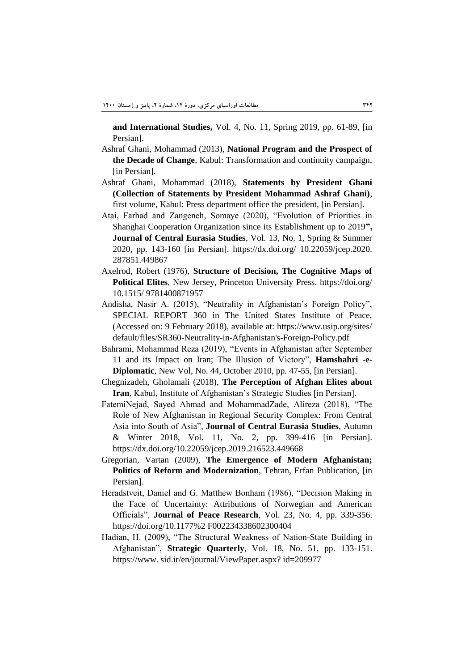**and International Studies,** Vol. 4, No. 11, Spring 2019, pp. 61-89, [in Persian].

- Ashraf Ghani, Mohammad (2013), **National Program and the Prospect of the Decade of Change**, Kabul: Transformation and continuity campaign, [in Persian].
- Ashraf Ghani, Mohammad (2018), **Statements by President Ghani (Collection of Statements by President Mohammad Ashraf Ghani)**, first volume, Kabul: Press department office the president, [in Persian].
- Atai, Farhad and Zangeneh, Somaye (2020), "Evolution of Priorities in Shanghai Cooperation Organization since its Establishment up to 2019**", Journal of Central Eurasia Studies**, Vol. 13, No. 1, Spring & Summer 2020, pp. 143-160 [in Persian]. https://dx.doi.org/ 10.22059/jcep.2020. 287851.449867
- Axelrod, Robert (1976), **Structure of Decision, The Cognitive Maps of Political Elites**, New Jersey, Princeton University Press. https://doi.org/ 10.1515/ 9781400871957
- Andisha, Nasir A. (2015), "Neutrality in Afghanistan's Foreign Policy", SPECIAL REPORT 360 in The United States Institute of Peace, (Accessed on: 9 February 2018), available at: https://www.usip.org/sites/ default/files/SR360-Neutrality-in-Afghanistan's-Foreign-Policy.pdf
- Bahrami, Mohammad Reza (2019), "Events in Afghanistan after September 11 and its Impact on Iran; The Illusion of Victory", **Hamshahri -e-Diplomatic**, New Vol, No. 44, October 2010, pp. 47-55, [in Persian].
- Chegnizadeh, Gholamali (2018), **The Perception of Afghan Elites about Iran**, Kabul, Institute of Afghanistan's Strategic Studies [in Persian].
- FatemiNejad, Sayed Ahmad and MohammadZade, Alireza (2018), "The Role of New Afghanistan in Regional Security Complex: From Central Asia into South of Asia", **Journal of Central Eurasia Studies**, Autumn & Winter 2018, Vol. 11, No. 2, pp. 399-416 [in Persian]. https://dx.doi.org/10.22059/jcep.2019.216523.449668
- Gregorian, Vartan (2009), **The Emergence of Modern Afghanistan; Politics of Reform and Modernization**, Tehran, Erfan Publication, [in Persian].
- Heradstveit, Daniel and G. Matthew Bonham (1986), "Decision Making in the Face of Uncertainty: Attributions of Norwegian and American Officials", **Journal of Peace Research**, Vol. 23, No. 4, pp. 339-356. https://doi.org/10.1177%2 F002234338602300404
- Hadian, H. (2009), "The Structural Weakness of Nation-State Building in Afghanistan", **Strategic Quarterly**, Vol. 18, No. 51, pp. 133-151. https://www. sid.ir/en/journal/ViewPaper.aspx? id=209977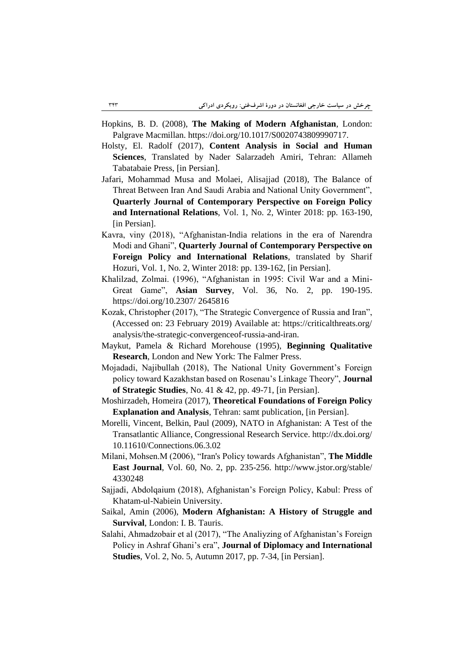- Hopkins, B. D. (2008), **The Making of Modern Afghanistan**, London: Palgrave Macmillan. https://doi.org/10.1017/S0020743809990717.
- Holsty, El. Radolf (2017), **Content Analysis in Social and Human Sciences**, Translated by Nader Salarzadeh Amiri, Tehran: Allameh Tabatabaie Press, [in Persian].
- Jafari, Mohammad Musa and Molaei, Alisajjad (2018), The Balance of Threat Between Iran And Saudi Arabia and National Unity Government", **Quarterly Journal of Contemporary Perspective on Foreign Policy and International Relations**, Vol. 1, No. 2, Winter 2018: pp. 163-190, [in Persian].
- Kavra, viny (2018), "Afghanistan-India relations in the era of Narendra Modi and Ghani", **Quarterly Journal of Contemporary Perspective on Foreign Policy and International Relations**, translated by Sharif Hozuri, Vol. 1, No. 2, Winter 2018: pp. 139-162, [in Persian].
- Khalilzad, Zolmai. (1996), "Afghanistan in 1995: Civil War and a Mini-Great Game", **Asian Survey**, Vol. 36, No. 2, pp. 190-195. https://doi.org/10.2307/ 2645816
- Kozak, Christopher (2017), "The Strategic Convergence of Russia and Iran", (Accessed on: 23 February 2019) Available at: https://criticalthreats.org/ analysis/the-strategic-convergenceof-russia-and-iran.
- Maykut, Pamela & Richard Morehouse (1995), **Beginning Qualitative Research**, London and New York: The Falmer Press.
- Mojadadi, Najibullah (2018), The National Unity Government's Foreign policy toward Kazakhstan based on Rosenau's Linkage Theory", **Journal of Strategic Studies**, No. 41 & 42, pp. 49-71, [in Persian].
- Moshirzadeh, Homeira (2017), **Theoretical Foundations of Foreign Policy Explanation and Analysis**, Tehran: samt publication, [in Persian].
- Morelli, Vincent, Belkin, Paul (2009), NATO in Afghanistan: A Test of the Transatlantic Alliance, Congressional Research Service. http://dx.doi.org/ 10.11610/Connections.06.3.02
- Milani, Mohsen.M (2006), "Iran's Policy towards Afghanistan", **The Middle East Journal**, Vol. 60, No. 2, pp. 235-256. http://www.jstor.org/stable/ 4330248
- Sajjadi, Abdolqaium (2018), Afghanistan's Foreign Policy, Kabul: Press of Khatam-ul-Nabiein University.
- Saikal, Amin (2006), **Modern Afghanistan: A History of Struggle and Survival**, London: I. B. Tauris.
- Salahi, Ahmadzobair et al (2017), "The Analiyzing of Afghanistan's Foreign Policy in Ashraf Ghani's era", **Journal of Diplomacy and International Studies**, Vol. 2, No. 5, Autumn 2017, pp. 7-34, [in Persian].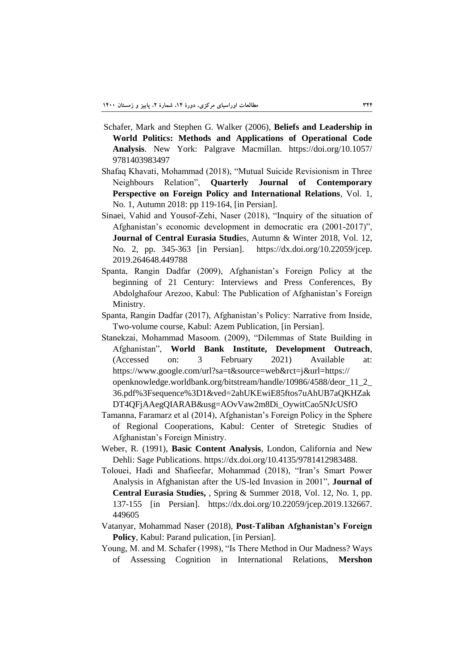- Schafer, Mark and Stephen G. Walker (2006), **Beliefs and Leadership in World Politics: Methods and Applications of Operational Code Analysis**. New York: Palgrave Macmillan. https://doi.org/10.1057/ 9781403983497
- Shafaq Khavati, Mohammad (2018), "Mutual Suicide Revisionism in Three Neighbours Relation", **Quarterly Journal of Contemporary Perspective on Foreign Policy and International Relations**, Vol. 1, No. 1, Autumn 2018: pp 119-164, [in Persian].
- Sinaei, Vahid and Yousof-Zehi, Naser (2018), "Inquiry of the situation of Afghanistan's economic development in democratic era (2001-2017)", **Journal of Central Eurasia Studi**es, Autumn & Winter 2018, Vol. 12, No. 2, pp. 345-363 [in Persian]. https://dx.doi.org/10.22059/jcep. 2019.264648.449788
- Spanta, Rangin Dadfar (2009), Afghanistan's Foreign Policy at the beginning of 21 Century: Interviews and Press Conferences, By Abdolghafour Arezoo, Kabul: The Publication of Afghanistan's Foreign Ministry.
- Spanta, Rangin Dadfar (2017), Afghanistan's Policy: Narrative from Inside, Two-volume course, Kabul: Azem Publication, [in Persian].
- Stanekzai, Mohammad Masoom. (2009), "Dilemmas of State Building in Afghanistan", **World Bank Institute, Development Outreach**, (Accessed on: 3 February 2021) Available at: https://www.google.com/url?sa=t&source=web&rct=j&url=https:// openknowledge.worldbank.org/bitstream/handle/10986/4588/deor\_11\_2\_ 36.pdf%3Fsequence%3D1&ved=2ahUKEwiE85ftos7uAhUB7aQKHZak DT4QFjAAegQIARAB&usg=AOvVaw2m8Di\_OywitCao5NJcUSfO
- Tamanna, Faramarz et al (2014), Afghanistan's Foreign Policy in the Sphere of Regional Cooperations, Kabul: Center of Stretegic Studies of Afghanistan's Foreign Ministry.
- Weber, R. (1991), **Basic Content Analysis**, London, California and New Dehli: Sage Publications. https://dx.doi.org/10.4135/9781412983488.
- Tolouei, Hadi and Shafieefar, Mohammad (2018), "Iran's Smart Power Analysis in Afghanistan after the US-led Invasion in 2001", **Journal of Central Eurasia Studies,** , Spring & Summer 2018, Vol. 12, No. 1, pp. 137-155 [in Persian]. https://dx.doi.org/10.22059/jcep.2019.132667. 449605
- Vatanyar, Mohammad Naser (2018), **Post-Taliban Afghanistan's Foreign Policy**, Kabul: Parand pulication, [in Persian].
- Young, M. and M. Schafer (1998), "Is There Method in Our Madness? Ways of Assessing Cognition in International Relations, **Mershon**